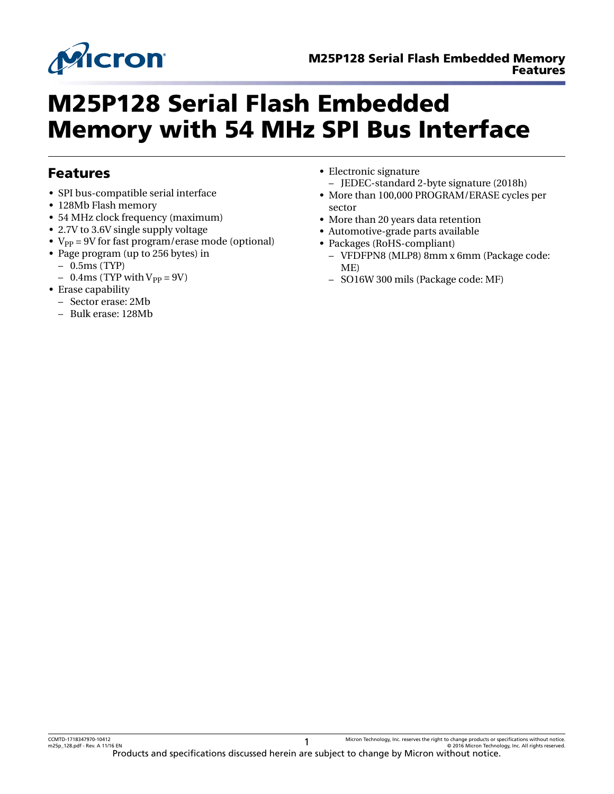

# M25P128 Serial Flash Embedded Memory with 54 MHz SPI Bus Interface

### Features

- SPI bus-compatible serial interface
- 128Mb Flash memory
- 54 MHz clock frequency (maximum)
- 2.7V to 3.6V single supply voltage
- $V_{PP}$  = 9V for fast program/erase mode (optional)
- Page program (up to 256 bytes) in
	- 0.5ms (TYP)
	- $-$  0.4ms (TYP with  $V_{PP} = 9V$ )
- Erase capability
	- Sector erase: 2Mb
	- Bulk erase: 128Mb
- Electronic signature – JEDEC-standard 2-byte signature (2018h)
- More than 100,000 PROGRAM/ERASE cycles per sector
- More than 20 years data retention
- Automotive-grade parts available
- Packages (RoHS-compliant)
- VFDFPN8 (MLP8) 8mm x 6mm (Package code: ME)
- SO16W 300 mils (Package code: MF)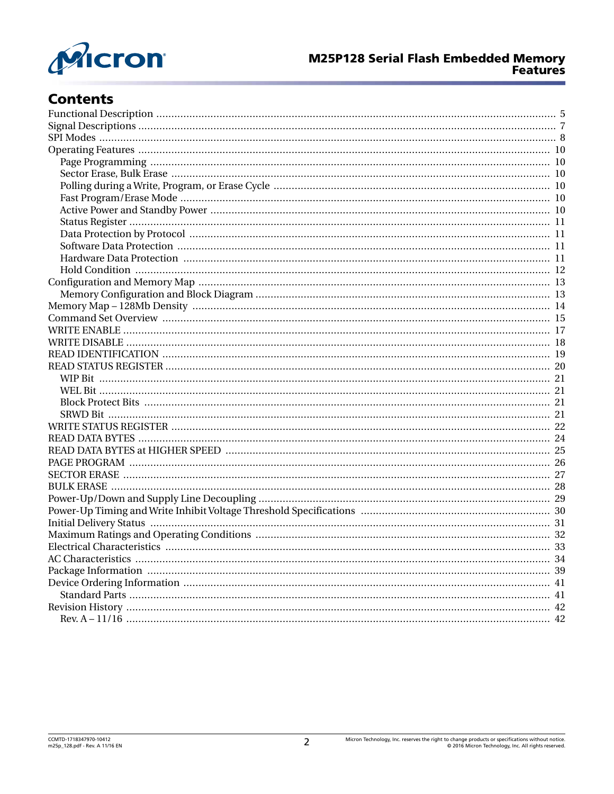

# **Contents**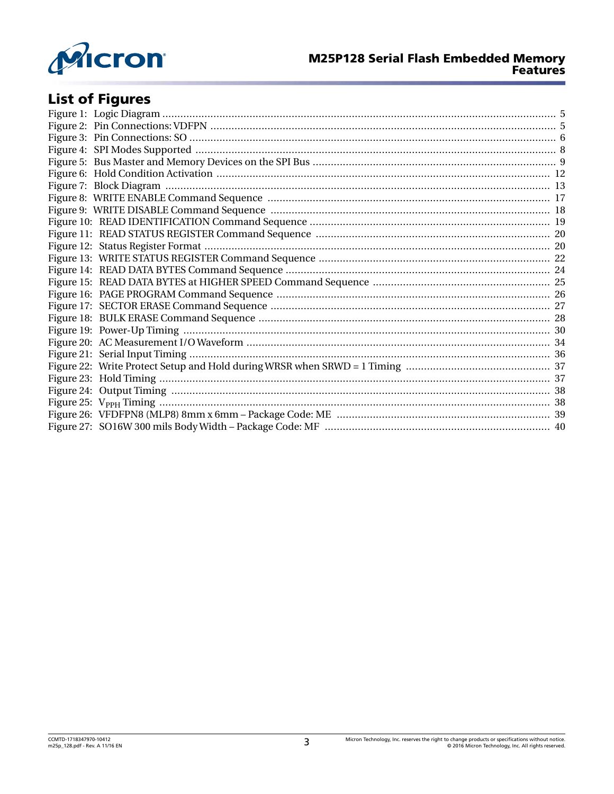

# **List of Figures**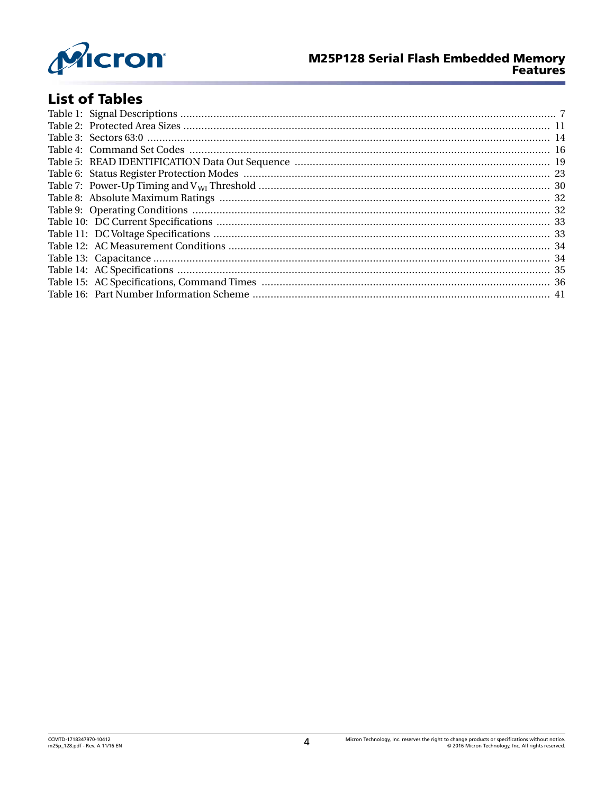

### **M25P128 Serial Flash Embedded Memory Features**

# **List of Tables**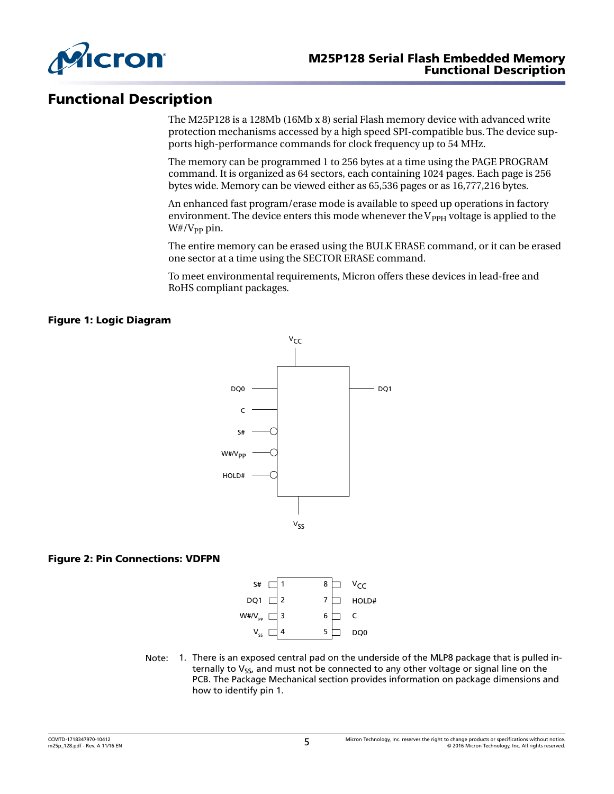<span id="page-4-0"></span>

### Functional Description

The M25P128 is a 128Mb (16Mb x 8) serial Flash memory device with advanced write protection mechanisms accessed by a high speed SPI-compatible bus. The device supports high-performance commands for clock frequency up to 54 MHz.

The memory can be programmed 1 to 256 bytes at a time using the PAGE PROGRAM command. It is organized as 64 sectors, each containing 1024 pages. Each page is 256 bytes wide. Memory can be viewed either as 65,536 pages or as 16,777,216 bytes.

An enhanced fast program/erase mode is available to speed up operations in factory environment. The device enters this mode whenever the  $V_{\rm PPH}$  voltage is applied to the  $W#/V_{PP}$  pin.

The entire memory can be erased using the BULK ERASE command, or it can be erased one sector at a time using the SECTOR ERASE command.

To meet environmental requirements, Micron offers these devices in lead-free and RoHS compliant packages.

### Figure 1: Logic Diagram



### Figure 2: Pin Connections: VDFPN



Note: 1. There is an exposed central pad on the underside of the MLP8 package that is pulled internally to  $V_{SS}$ , and must not be connected to any other voltage or signal line on the PCB. The Package Mechanical section provides information on package dimensions and how to identify pin 1.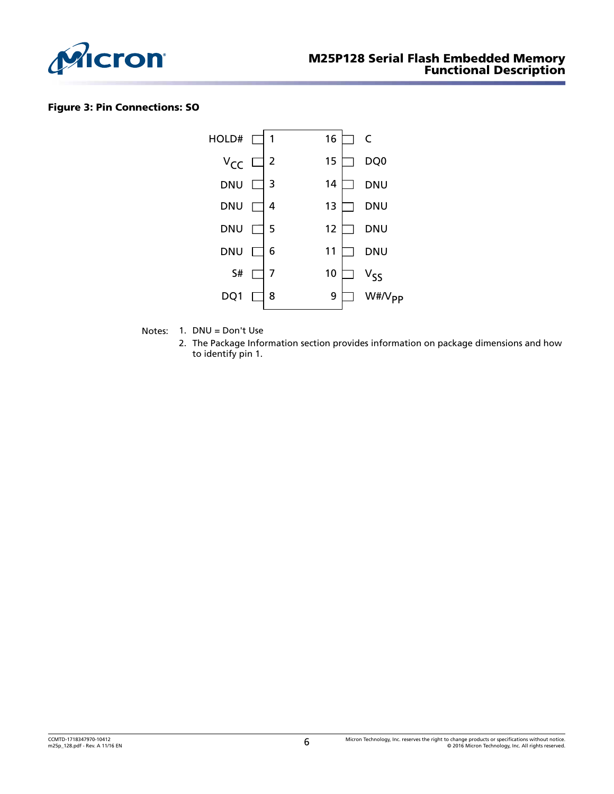<span id="page-5-0"></span>

### Figure 3: Pin Connections: SO



- Notes: 1. DNU = Don't Use
	- 2. The Package Information section provides information on package dimensions and how to identify pin 1.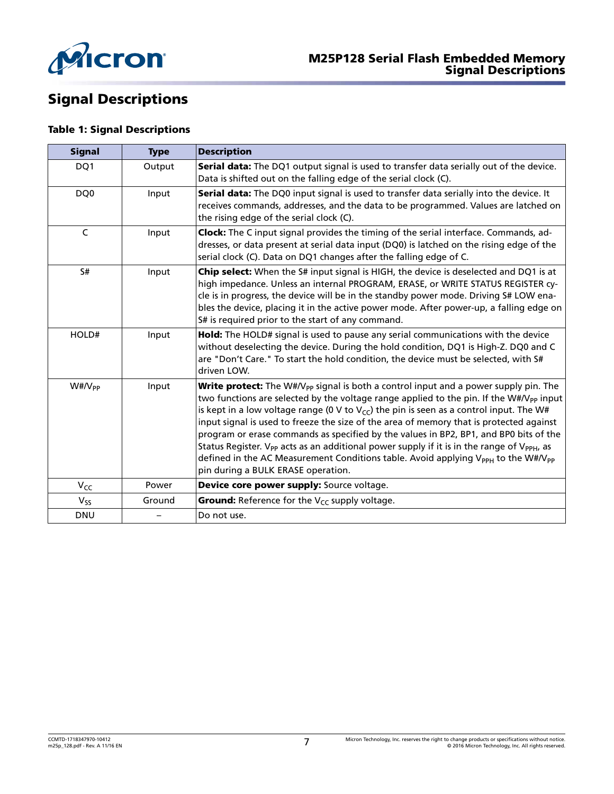<span id="page-6-0"></span>

# Signal Descriptions

### Table 1: Signal Descriptions

| <b>Signal</b>         | <b>Type</b> | <b>Description</b>                                                                                                                                                                                                                                                                                                                                                                                                                                                                                                                                                                                                                                                                                                                                                   |  |  |  |
|-----------------------|-------------|----------------------------------------------------------------------------------------------------------------------------------------------------------------------------------------------------------------------------------------------------------------------------------------------------------------------------------------------------------------------------------------------------------------------------------------------------------------------------------------------------------------------------------------------------------------------------------------------------------------------------------------------------------------------------------------------------------------------------------------------------------------------|--|--|--|
| DQ1                   | Output      | Serial data: The DQ1 output signal is used to transfer data serially out of the device.<br>Data is shifted out on the falling edge of the serial clock (C).                                                                                                                                                                                                                                                                                                                                                                                                                                                                                                                                                                                                          |  |  |  |
| DQ0                   | Input       | Serial data: The DQ0 input signal is used to transfer data serially into the device. It<br>receives commands, addresses, and the data to be programmed. Values are latched on<br>the rising edge of the serial clock (C).                                                                                                                                                                                                                                                                                                                                                                                                                                                                                                                                            |  |  |  |
| C                     | Input       | <b>Clock:</b> The C input signal provides the timing of the serial interface. Commands, ad-<br>dresses, or data present at serial data input (DQ0) is latched on the rising edge of the<br>serial clock (C). Data on DQ1 changes after the falling edge of C.                                                                                                                                                                                                                                                                                                                                                                                                                                                                                                        |  |  |  |
| S#                    | Input       | Chip select: When the S# input signal is HIGH, the device is deselected and DQ1 is at<br>high impedance. Unless an internal PROGRAM, ERASE, or WRITE STATUS REGISTER cy-<br>cle is in progress, the device will be in the standby power mode. Driving S# LOW ena-<br>bles the device, placing it in the active power mode. After power-up, a falling edge on<br>S# is required prior to the start of any command.                                                                                                                                                                                                                                                                                                                                                    |  |  |  |
| HOLD#                 | Input       | Hold: The HOLD# signal is used to pause any serial communications with the device<br>without deselecting the device. During the hold condition, DQ1 is High-Z. DQ0 and C<br>are "Don't Care." To start the hold condition, the device must be selected, with S#<br>driven LOW.                                                                                                                                                                                                                                                                                                                                                                                                                                                                                       |  |  |  |
| $W#/\mathcal{N}_{PP}$ | Input       | Write protect: The W#/V <sub>PP</sub> signal is both a control input and a power supply pin. The<br>two functions are selected by the voltage range applied to the pin. If the W#/V <sub>PP</sub> input<br>is kept in a low voltage range (0 V to $V_{CC}$ ) the pin is seen as a control input. The W#<br>input signal is used to freeze the size of the area of memory that is protected against<br>program or erase commands as specified by the values in BP2, BP1, and BP0 bits of the<br>Status Register. V <sub>PP</sub> acts as an additional power supply if it is in the range of V <sub>PPH</sub> , as<br>defined in the AC Measurement Conditions table. Avoid applying V <sub>PPH</sub> to the W#/V <sub>PP</sub><br>pin during a BULK ERASE operation. |  |  |  |
| $V_{CC}$              | Power       | Device core power supply: Source voltage.                                                                                                                                                                                                                                                                                                                                                                                                                                                                                                                                                                                                                                                                                                                            |  |  |  |
| $V_{SS}$              | Ground      | Ground: Reference for the V <sub>CC</sub> supply voltage.                                                                                                                                                                                                                                                                                                                                                                                                                                                                                                                                                                                                                                                                                                            |  |  |  |
| <b>DNU</b>            |             | Do not use.                                                                                                                                                                                                                                                                                                                                                                                                                                                                                                                                                                                                                                                                                                                                                          |  |  |  |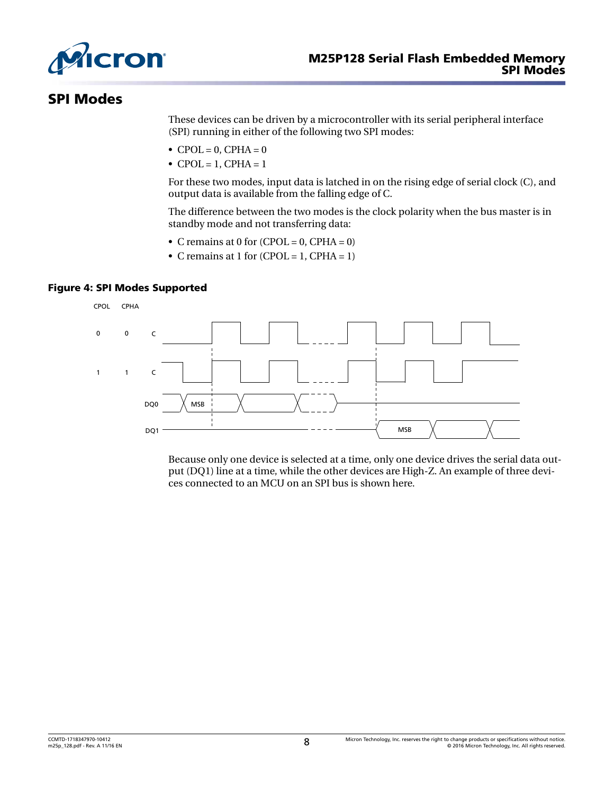<span id="page-7-0"></span>

### SPI Modes

These devices can be driven by a microcontroller with its serial peripheral interface (SPI) running in either of the following two SPI modes:

- $\bullet$  CPOL = 0, CPHA = 0
- CPOL = 1, CPHA =  $1$

For these two modes, input data is latched in on the rising edge of serial clock (C), and output data is available from the falling edge of C.

The difference between the two modes is the clock polarity when the bus master is in standby mode and not transferring data:

- C remains at 0 for  $(CPOL = 0, CPHA = 0)$
- C remains at 1 for  $(CPOL = 1, CPHA = 1)$

### Figure 4: SPI Modes Supported



Because only one device is selected at a time, only one device drives the serial data output (DQ1) line at a time, while the other devices are High-Z. An example of three devices connected to an MCU on an SPI bus is shown here.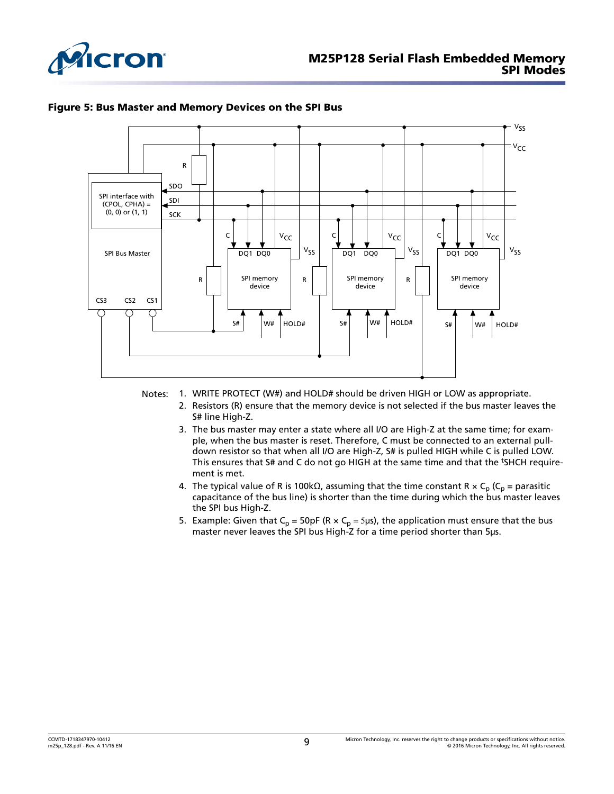<span id="page-8-0"></span>



#### Figure 5: Bus Master and Memory Devices on the SPI Bus

- Notes: 1. WRITE PROTECT (W#) and HOLD# should be driven HIGH or LOW as appropriate.
	- 2. Resistors (R) ensure that the memory device is not selected if the bus master leaves the S# line High-Z.
	- 3. The bus master may enter a state where all I/O are High-Z at the same time; for example, when the bus master is reset. Therefore, C must be connected to an external pulldown resistor so that when all I/O are High-Z, S# is pulled HIGH while C is pulled LOW. This ensures that S# and C do not go HIGH at the same time and that the <sup>t</sup>SHCH requirement is met.
	- 4. The typical value of R is 100kΩ, assuming that the time constant R  $\times$  C<sub>p</sub> (C<sub>p</sub> = parasitic capacitance of the bus line) is shorter than the time during which the bus master leaves the SPI bus High-Z.
	- 5. Example: Given that  $C_p$  = 50pF (R  $\times$   $C_p$  = 5µs), the application must ensure that the bus master never leaves the SPI bus High-Z for a time period shorter than 5μs.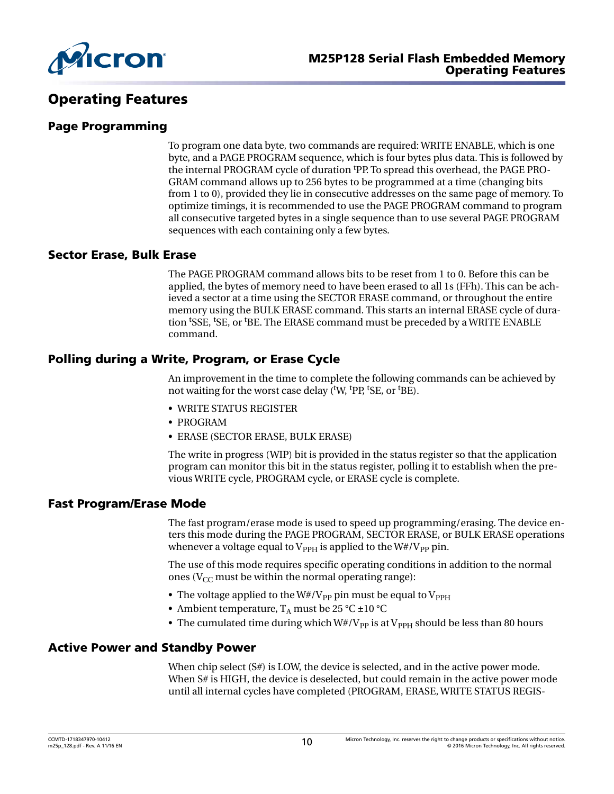<span id="page-9-0"></span>

### Operating Features

### Page Programming

To program one data byte, two commands are required: WRITE ENABLE, which is one byte, and a PAGE PROGRAM sequence, which is four bytes plus data. This is followed by the internal PROGRAM cycle of duration tPP. To spread this overhead, the PAGE PRO-GRAM command allows up to 256 bytes to be programmed at a time (changing bits from 1 to 0), provided they lie in consecutive addresses on the same page of memory. To optimize timings, it is recommended to use the PAGE PROGRAM command to program all consecutive targeted bytes in a single sequence than to use several PAGE PROGRAM sequences with each containing only a few bytes.

### Sector Erase, Bulk Erase

The PAGE PROGRAM command allows bits to be reset from 1 to 0. Before this can be applied, the bytes of memory need to have been erased to all 1s (FFh). This can be achieved a sector at a time using the SECTOR ERASE command, or throughout the entire memory using the BULK ERASE command. This starts an internal ERASE cycle of duration <sup>t</sup>SSE, <sup>t</sup>SE, or <sup>t</sup>BE. The ERASE command must be preceded by a WRITE ENABLE command.

### Polling during a Write, Program, or Erase Cycle

An improvement in the time to complete the following commands can be achieved by not waiting for the worst case delay (<sup>t</sup>W, <sup>t</sup>PP, <sup>t</sup>SE, or <sup>t</sup>BE).

- WRITE STATUS REGISTER
- PROGRAM
- ERASE (SECTOR ERASE, BULK ERASE)

The write in progress (WIP) bit is provided in the status register so that the application program can monitor this bit in the status register, polling it to establish when the previous WRITE cycle, PROGRAM cycle, or ERASE cycle is complete.

### Fast Program/Erase Mode

The fast program/erase mode is used to speed up programming/erasing. The device enters this mode during the PAGE PROGRAM, SECTOR ERASE, or BULK ERASE operations whenever a voltage equal to  $V_{\text{PPH}}$  is applied to the W#/V<sub>PP</sub> pin.

The use of this mode requires specific operating conditions in addition to the normal ones ( $V_{CC}$  must be within the normal operating range):

- The voltage applied to the  $W#/V_{PP}$  pin must be equal to  $V_{PPH}$
- Ambient temperature,  $T_A$  must be 25 °C  $\pm 10$  °C
- The cumulated time during which  $W#/V_{PP}$  is at  $V_{PPH}$  should be less than 80 hours

### Active Power and Standby Power

When chip select (S#) is LOW, the device is selected, and in the active power mode. When S# is HIGH, the device is deselected, but could remain in the active power mode until all internal cycles have completed (PROGRAM, ERASE, WRITE STATUS REGIS-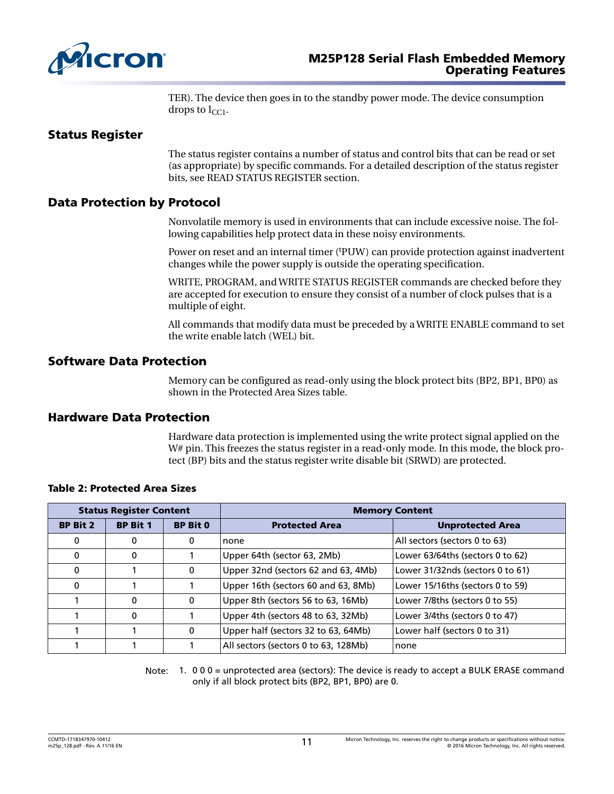<span id="page-10-0"></span>

TER). The device then goes in to the standby power mode. The device consumption drops to  $I_{CC1}$ .

### Status Register

The status register contains a number of status and control bits that can be read or set (as appropriate) by specific commands. For a detailed description of the status register bits, see READ STATUS REGISTER section.

### Data Protection by Protocol

Nonvolatile memory is used in environments that can include excessive noise. The following capabilities help protect data in these noisy environments.

Power on reset and an internal timer (PUW) can provide protection against inadvertent changes while the power supply is outside the operating specification.

WRITE, PROGRAM, and WRITE STATUS REGISTER commands are checked before they are accepted for execution to ensure they consist of a number of clock pulses that is a multiple of eight.

All commands that modify data must be preceded by a WRITE ENABLE command to set the write enable latch (WEL) bit.

### Software Data Protection

Memory can be configured as read-only using the block protect bits (BP2, BP1, BP0) as shown in the Protected Area Sizes table.

### Hardware Data Protection

Hardware data protection is implemented using the write protect signal applied on the W# pin. This freezes the status register in a read-only mode. In this mode, the block protect (BP) bits and the status register write disable bit (SRWD) are protected.

| <b>Status Register Content</b> |                 |                 | <b>Memory Content</b>                |                                  |  |
|--------------------------------|-----------------|-----------------|--------------------------------------|----------------------------------|--|
| <b>BP Bit 2</b>                | <b>BP Bit 1</b> | <b>BP Bit 0</b> | <b>Protected Area</b>                | <b>Unprotected Area</b>          |  |
| 0                              | 0               | $\mathbf 0$     | none                                 | All sectors (sectors 0 to 63)    |  |
| 0                              | 0               |                 | Upper 64th (sector 63, 2Mb)          | Lower 63/64ths (sectors 0 to 62) |  |
| 0                              |                 | $\mathbf{0}$    | Upper 32nd (sectors 62 and 63, 4Mb)  | Lower 31/32nds (sectors 0 to 61) |  |
| 0                              |                 |                 | Upper 16th (sectors 60 and 63, 8Mb)  | Lower 15/16ths (sectors 0 to 59) |  |
|                                | $\Omega$        | $\Omega$        | Upper 8th (sectors 56 to 63, 16Mb)   | Lower 7/8ths (sectors 0 to 55)   |  |
|                                | 0               |                 | Upper 4th (sectors 48 to 63, 32Mb)   | Lower 3/4ths (sectors 0 to 47)   |  |
|                                |                 | 0               | Upper half (sectors 32 to 63, 64Mb)  | Lower half (sectors 0 to 31)     |  |
|                                |                 |                 | All sectors (sectors 0 to 63, 128Mb) | none                             |  |

### Table 2: Protected Area Sizes

Note: 1. 000 = unprotected area (sectors): The device is ready to accept a BULK ERASE command only if all block protect bits (BP2, BP1, BP0) are 0.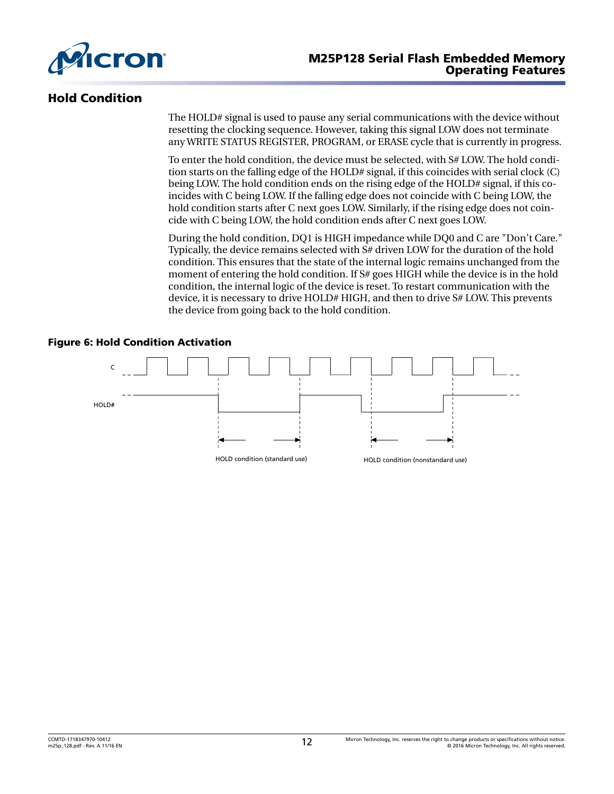<span id="page-11-0"></span>

### Hold Condition

The HOLD# signal is used to pause any serial communications with the device without resetting the clocking sequence. However, taking this signal LOW does not terminate any WRITE STATUS REGISTER, PROGRAM, or ERASE cycle that is currently in progress.

To enter the hold condition, the device must be selected, with S# LOW. The hold condition starts on the falling edge of the HOLD# signal, if this coincides with serial clock (C) being LOW. The hold condition ends on the rising edge of the HOLD# signal, if this coincides with C being LOW. If the falling edge does not coincide with C being LOW, the hold condition starts after C next goes LOW. Similarly, if the rising edge does not coincide with C being LOW, the hold condition ends after C next goes LOW.

During the hold condition, DQ1 is HIGH impedance while DQ0 and C are "Don't Care." Typically, the device remains selected with S# driven LOW for the duration of the hold condition. This ensures that the state of the internal logic remains unchanged from the moment of entering the hold condition. If S# goes HIGH while the device is in the hold condition, the internal logic of the device is reset. To restart communication with the device, it is necessary to drive HOLD# HIGH, and then to drive S# LOW. This prevents the device from going back to the hold condition.

### Figure 6: Hold Condition Activation

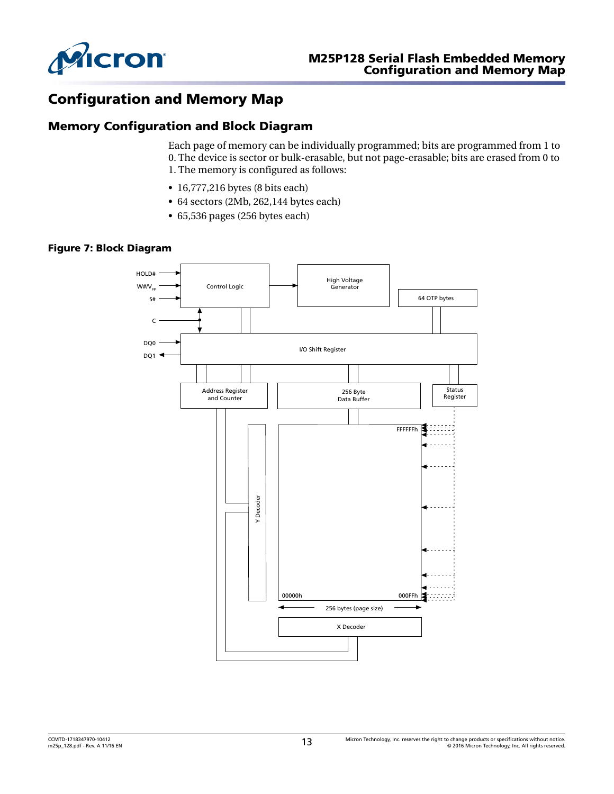<span id="page-12-0"></span>

### Configuration and Memory Map

### Memory Configuration and Block Diagram

Each page of memory can be individually programmed; bits are programmed from 1 to 0. The device is sector or bulk-erasable, but not page-erasable; bits are erased from 0 to 1. The memory is configured as follows:

- 16,777,216 bytes (8 bits each)
- 64 sectors (2Mb, 262,144 bytes each)
- 65,536 pages (256 bytes each)

#### Figure 7: Block Diagram

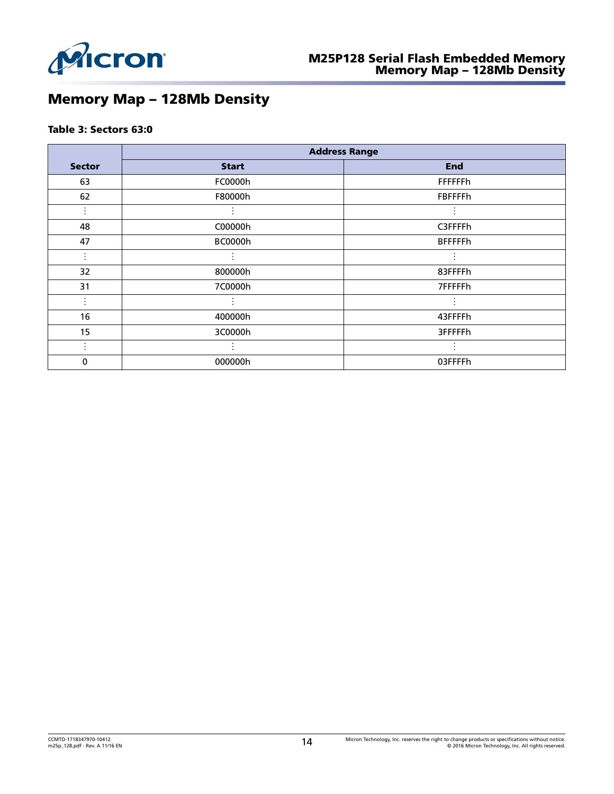<span id="page-13-0"></span>

# Memory Map – 128Mb Density

### Table 3: Sectors 63:0

|               | <b>Address Range</b> |                 |  |  |  |
|---------------|----------------------|-----------------|--|--|--|
| <b>Sector</b> | <b>Start</b>         | <b>End</b>      |  |  |  |
| 63            | FC0000h              | <b>FFFFFFh</b>  |  |  |  |
| 62            | F80000h              | <b>FBFFFFh</b>  |  |  |  |
|               |                      |                 |  |  |  |
| 48            | C00000h              | C3FFFFh         |  |  |  |
| 47            | <b>BC0000h</b>       | <b>BFFFFFFh</b> |  |  |  |
|               |                      |                 |  |  |  |
| 32            | 800000h              | 83FFFFh         |  |  |  |
| 31            | 7C0000h              | 7FFFFFh         |  |  |  |
|               |                      |                 |  |  |  |
| 16            | 400000h              | 43FFFFh         |  |  |  |
| 15            | 3C0000h              | 3FFFFFFh        |  |  |  |
|               |                      |                 |  |  |  |
| 0             | 000000h              | 03FFFFh         |  |  |  |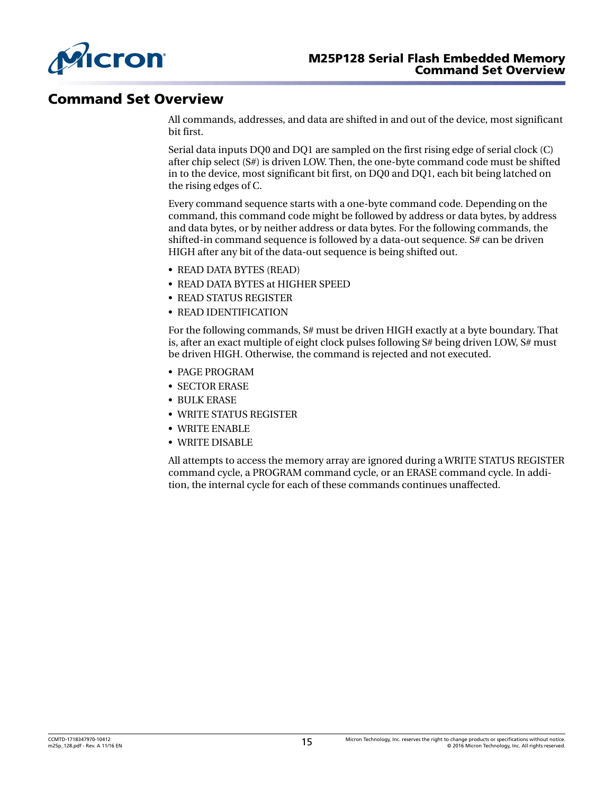<span id="page-14-0"></span>

### Command Set Overview

All commands, addresses, and data are shifted in and out of the device, most significant bit first.

Serial data inputs DQ0 and DQ1 are sampled on the first rising edge of serial clock (C) after chip select (S#) is driven LOW. Then, the one-byte command code must be shifted in to the device, most significant bit first, on DQ0 and DQ1, each bit being latched on the rising edges of C.

Every command sequence starts with a one-byte command code. Depending on the command, this command code might be followed by address or data bytes, by address and data bytes, or by neither address or data bytes. For the following commands, the shifted-in command sequence is followed by a data-out sequence. S# can be driven HIGH after any bit of the data-out sequence is being shifted out.

- READ DATA BYTES (READ)
- READ DATA BYTES at HIGHER SPEED
- READ STATUS REGISTER
- READ IDENTIFICATION

For the following commands, S# must be driven HIGH exactly at a byte boundary. That is, after an exact multiple of eight clock pulses following S# being driven LOW, S# must be driven HIGH. Otherwise, the command is rejected and not executed.

- PAGE PROGRAM
- SECTOR ERASE
- BULK ERASE
- WRITE STATUS REGISTER
- WRITE ENABLE
- WRITE DISABLE

All attempts to access the memory array are ignored during a WRITE STATUS REGISTER command cycle, a PROGRAM command cycle, or an ERASE command cycle. In addition, the internal cycle for each of these commands continues unaffected.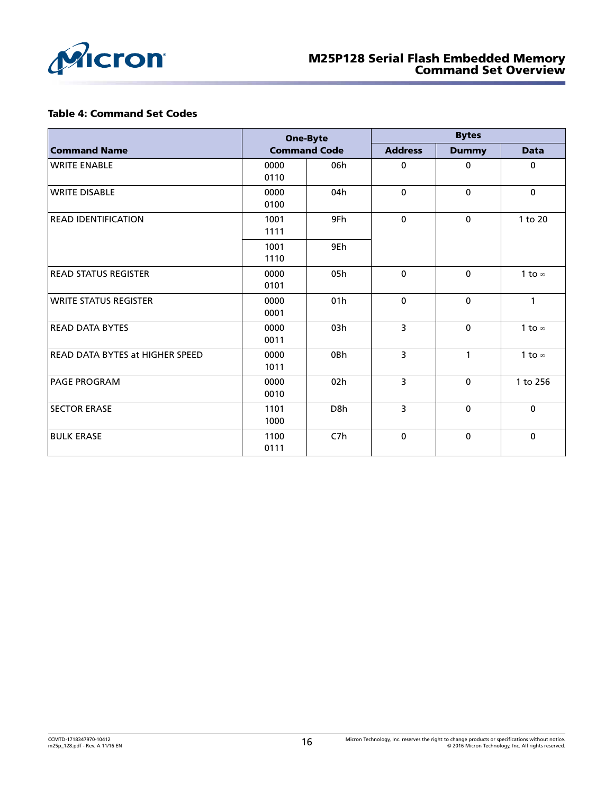<span id="page-15-0"></span>

#### Table 4: Command Set Codes

|                                 | <b>One-Byte</b><br><b>Command Code</b> |                 | <b>Bytes</b>   |              |               |  |
|---------------------------------|----------------------------------------|-----------------|----------------|--------------|---------------|--|
| <b>Command Name</b>             |                                        |                 | <b>Address</b> | <b>Dummy</b> | <b>Data</b>   |  |
| <b>WRITE ENABLE</b>             | 0000<br>0110                           | 06h             | $\mathbf 0$    | $\mathbf 0$  | $\mathbf{0}$  |  |
| <b>WRITE DISABLE</b>            | 0000<br>0100                           | 04h             | $\mathbf 0$    | $\Omega$     | $\mathbf 0$   |  |
| <b>READ IDENTIFICATION</b>      | 1001<br>1111                           | 9Fh             | $\pmb{0}$      | $\mathbf 0$  | 1 to 20       |  |
|                                 | 1001<br>1110                           | 9Eh             |                |              |               |  |
| <b>READ STATUS REGISTER</b>     | 0000<br>0101                           | 05h             | $\mathbf 0$    | $\mathbf 0$  | 1 to $\infty$ |  |
| <b>WRITE STATUS REGISTER</b>    | 0000<br>0001                           | 01h             | $\pmb{0}$      | $\mathbf 0$  | 1             |  |
| <b>READ DATA BYTES</b>          | 0000<br>0011                           | 03h             | 3              | $\Omega$     | 1 to $\infty$ |  |
| READ DATA BYTES at HIGHER SPEED | 0000<br>1011                           | 0Bh             | $\overline{3}$ | 1            | 1 to $\infty$ |  |
| <b>PAGE PROGRAM</b>             | 0000<br>0010                           | 02 <sub>h</sub> | 3              | $\mathbf 0$  | 1 to 256      |  |
| <b>SECTOR ERASE</b>             | 1101<br>1000                           | D8h             | 3              | $\mathbf 0$  | $\mathbf{0}$  |  |
| <b>BULK ERASE</b>               | 1100<br>0111                           | C7h             | $\mathbf{0}$   | $\mathbf 0$  | $\mathbf 0$   |  |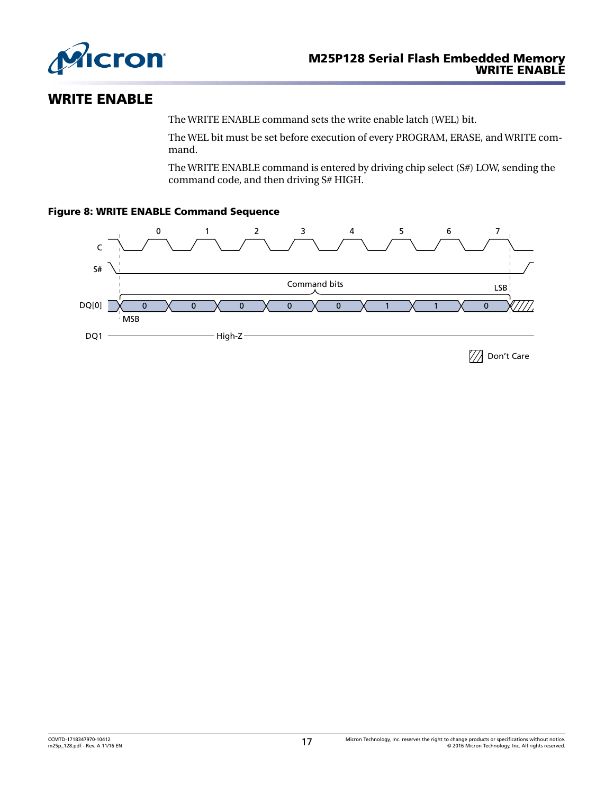<span id="page-16-0"></span>

### WRITE ENABLE

The WRITE ENABLE command sets the write enable latch (WEL) bit.

The WEL bit must be set before execution of every PROGRAM, ERASE, and WRITE command.

The WRITE ENABLE command is entered by driving chip select (S#) LOW, sending the command code, and then driving S# HIGH.

### Figure 8: WRITE ENABLE Command Sequence

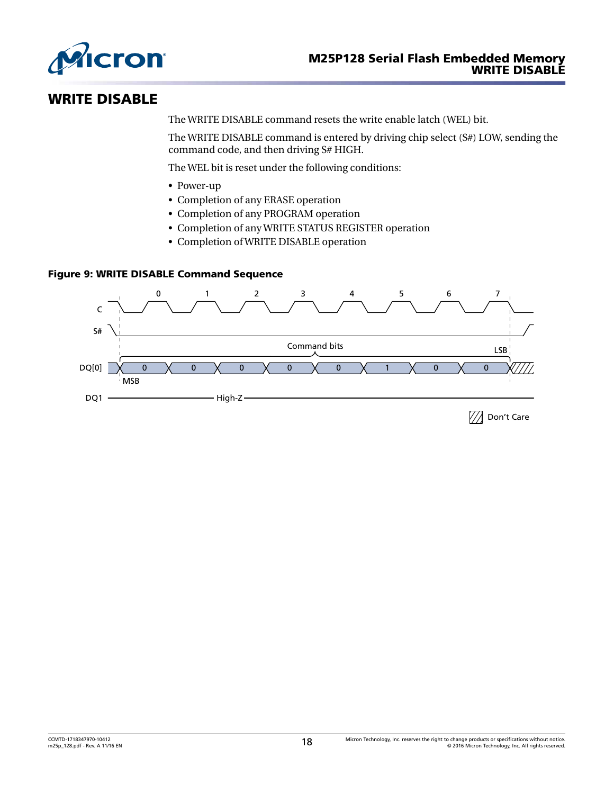<span id="page-17-0"></span>

### WRITE DISABLE

The WRITE DISABLE command resets the write enable latch (WEL) bit.

The WRITE DISABLE command is entered by driving chip select (S#) LOW, sending the command code, and then driving S# HIGH.

The WEL bit is reset under the following conditions:

- Power-up
- Completion of any ERASE operation
- Completion of any PROGRAM operation
- Completion of any WRITE STATUS REGISTER operation
- Completion of WRITE DISABLE operation

### Figure 9: WRITE DISABLE Command Sequence

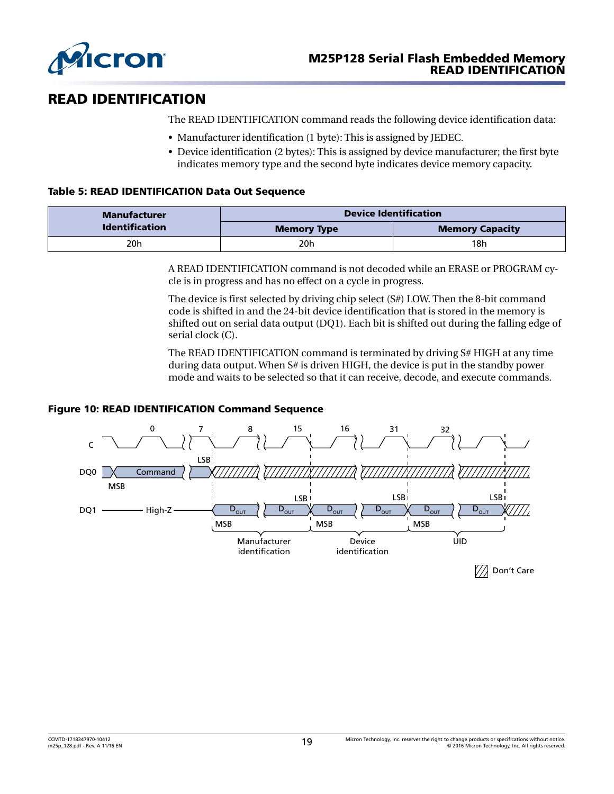<span id="page-18-0"></span>

# READ IDENTIFICATION

The READ IDENTIFICATION command reads the following device identification data:

- Manufacturer identification (1 byte): This is assigned by JEDEC.
- Device identification (2 bytes): This is assigned by device manufacturer; the first byte indicates memory type and the second byte indicates device memory capacity.

### Table 5: READ IDENTIFICATION Data Out Sequence

| Manufacturer          | <b>Device Identification</b> |                        |  |
|-----------------------|------------------------------|------------------------|--|
| <b>Identification</b> | <b>Memory Type</b>           | <b>Memory Capacity</b> |  |
| 20h                   | 20h                          | 18h                    |  |

A READ IDENTIFICATION command is not decoded while an ERASE or PROGRAM cycle is in progress and has no effect on a cycle in progress.

The device is first selected by driving chip select (S#) LOW. Then the 8-bit command code is shifted in and the 24-bit device identification that is stored in the memory is shifted out on serial data output (DQ1). Each bit is shifted out during the falling edge of serial clock (C).

The READ IDENTIFICATION command is terminated by driving S# HIGH at any time during data output. When S# is driven HIGH, the device is put in the standby power mode and waits to be selected so that it can receive, decode, and execute commands.

#### Figure 10: READ IDENTIFICATION Command Sequence

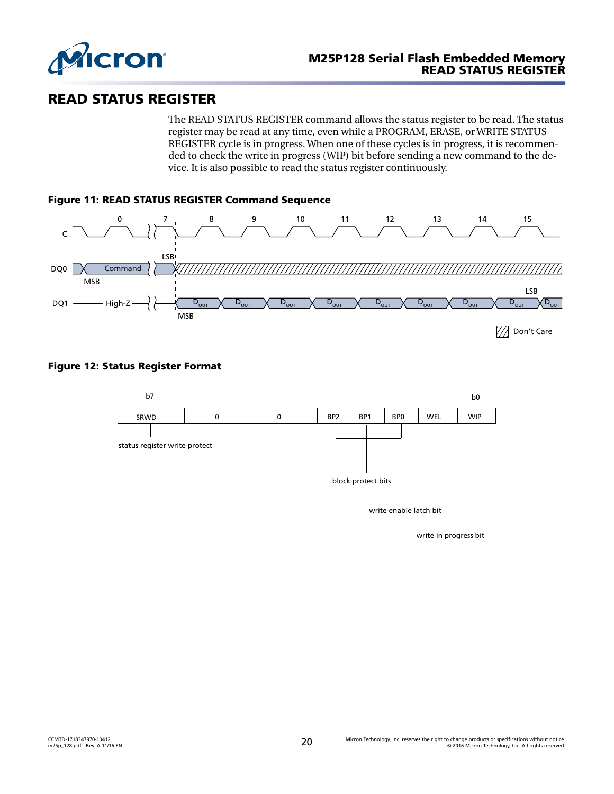<span id="page-19-0"></span>

### READ STATUS REGISTER

The READ STATUS REGISTER command allows the status register to be read. The status register may be read at any time, even while a PROGRAM, ERASE, or WRITE STATUS REGISTER cycle is in progress. When one of these cycles is in progress, it is recommended to check the write in progress (WIP) bit before sending a new command to the device. It is also possible to read the status register continuously.



### Figure 12: Status Register Format

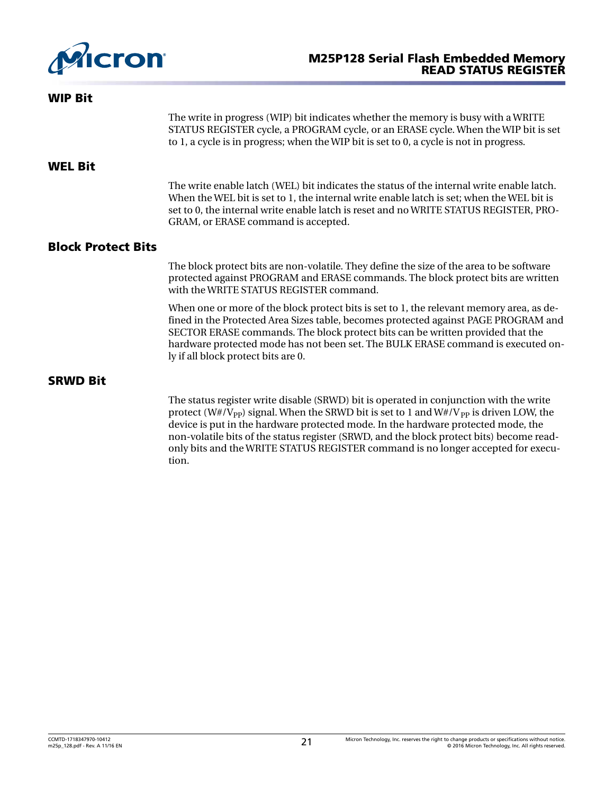<span id="page-20-0"></span>

| <b>WIP Bit</b>            |                                                                                                                                                                                                                                                                                                                                                                                              |
|---------------------------|----------------------------------------------------------------------------------------------------------------------------------------------------------------------------------------------------------------------------------------------------------------------------------------------------------------------------------------------------------------------------------------------|
|                           | The write in progress (WIP) bit indicates whether the memory is busy with a WRITE<br>STATUS REGISTER cycle, a PROGRAM cycle, or an ERASE cycle. When the WIP bit is set<br>to 1, a cycle is in progress; when the WIP bit is set to 0, a cycle is not in progress.                                                                                                                           |
| <b>WEL Bit</b>            |                                                                                                                                                                                                                                                                                                                                                                                              |
|                           | The write enable latch (WEL) bit indicates the status of the internal write enable latch.<br>When the WEL bit is set to 1, the internal write enable latch is set; when the WEL bit is<br>set to 0, the internal write enable latch is reset and no WRITE STATUS REGISTER, PRO-<br>GRAM, or ERASE command is accepted.                                                                       |
| <b>Block Protect Bits</b> |                                                                                                                                                                                                                                                                                                                                                                                              |
|                           | The block protect bits are non-volatile. They define the size of the area to be software<br>protected against PROGRAM and ERASE commands. The block protect bits are written<br>with the WRITE STATUS REGISTER command.                                                                                                                                                                      |
|                           | When one or more of the block protect bits is set to 1, the relevant memory area, as de-<br>fined in the Protected Area Sizes table, becomes protected against PAGE PROGRAM and<br>SECTOR ERASE commands. The block protect bits can be written provided that the<br>hardware protected mode has not been set. The BULK ERASE command is executed on-<br>ly if all block protect bits are 0. |
| <b>SRWD Bit</b>           |                                                                                                                                                                                                                                                                                                                                                                                              |
|                           | The status register write disable (SRWD) bit is operated in conjunction with the write<br>protect (W#/V <sub>pp</sub> ) signal. When the SRWD bit is set to 1 and W#/V <sub>pp</sub> is driven LOW, the<br>device is put in the hardware protected mode. In the hardware protected mode, the<br>non-volatile bits of the status register (SRWD, and the block protect bits) become read-     |

only bits and the WRITE STATUS REGISTER command is no longer accepted for execu-

tion.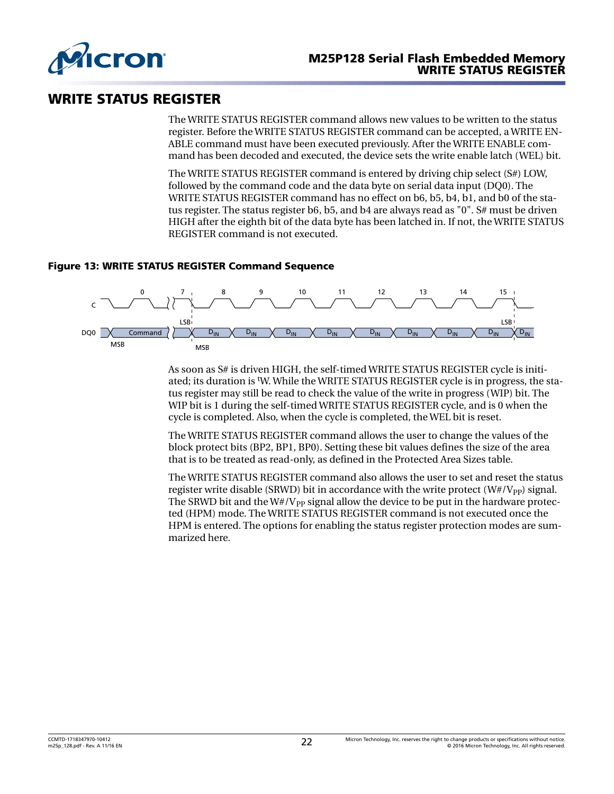<span id="page-21-0"></span>

### WRITE STATUS REGISTER

The WRITE STATUS REGISTER command allows new values to be written to the status register. Before the WRITE STATUS REGISTER command can be accepted, a WRITE EN-ABLE command must have been executed previously. After the WRITE ENABLE command has been decoded and executed, the device sets the write enable latch (WEL) bit.

The WRITE STATUS REGISTER command is entered by driving chip select (S#) LOW, followed by the command code and the data byte on serial data input (DQ0). The WRITE STATUS REGISTER command has no effect on b6, b5, b4, b1, and b0 of the status register. The status register b6, b5, and b4 are always read as "0". S# must be driven HIGH after the eighth bit of the data byte has been latched in. If not, the WRITE STATUS REGISTER command is not executed.

### Figure 13: WRITE STATUS REGISTER Command Sequence



As soon as S# is driven HIGH, the self-timed WRITE STATUS REGISTER cycle is initiated; its duration is tW. While the WRITE STATUS REGISTER cycle is in progress, the status register may still be read to check the value of the write in progress (WIP) bit. The WIP bit is 1 during the self-timed WRITE STATUS REGISTER cycle, and is 0 when the cycle is completed. Also, when the cycle is completed, the WEL bit is reset.

The WRITE STATUS REGISTER command allows the user to change the values of the block protect bits (BP2, BP1, BP0). Setting these bit values defines the size of the area that is to be treated as read-only, as defined in the Protected Area Sizes table.

The WRITE STATUS REGISTER command also allows the user to set and reset the status register write disable (SRWD) bit in accordance with the write protect ( $W#/V_{\text{PP}}$ ) signal. The SRWD bit and the W#/V<sub>PP</sub> signal allow the device to be put in the hardware protected (HPM) mode. The WRITE STATUS REGISTER command is not executed once the HPM is entered. The options for enabling the status register protection modes are summarized here.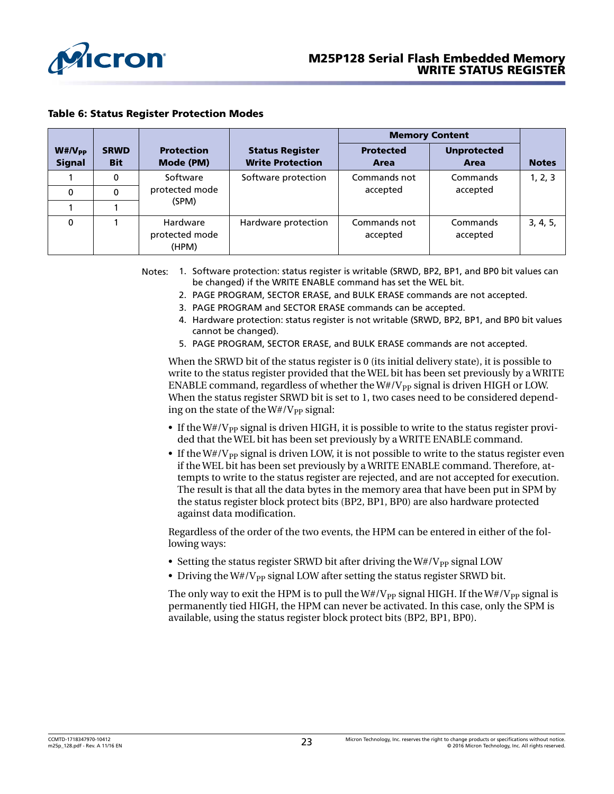<span id="page-22-0"></span>

|                              |                           |                                     |                                                   | <b>Memory Content</b>    |                            |              |
|------------------------------|---------------------------|-------------------------------------|---------------------------------------------------|--------------------------|----------------------------|--------------|
| $W#/V_{PP}$<br><b>Signal</b> | <b>SRWD</b><br><b>Bit</b> | <b>Protection</b><br>Mode (PM)      | <b>Status Register</b><br><b>Write Protection</b> | <b>Protected</b><br>Area | <b>Unprotected</b><br>Area | <b>Notes</b> |
|                              | 0                         | Software                            | Software protection                               | Commands not             | Commands                   | 1, 2, 3      |
| $\Omega$                     | $\Omega$                  | protected mode<br>(SPM)             |                                                   | accepted                 | accepted                   |              |
|                              |                           |                                     |                                                   |                          |                            |              |
| 0                            |                           | Hardware<br>protected mode<br>(HPM) | Hardware protection                               | Commands not<br>accepted | Commands<br>accepted       | 3, 4, 5,     |

Notes: 1. Software protection: status register is writable (SRWD, BP2, BP1, and BP0 bit values can be changed) if the WRITE ENABLE command has set the WEL bit.

- 2. PAGE PROGRAM, SECTOR ERASE, and BULK ERASE commands are not accepted.
- 3. PAGE PROGRAM and SECTOR ERASE commands can be accepted.
- 4. Hardware protection: status register is not writable (SRWD, BP2, BP1, and BP0 bit values cannot be changed).
- 5. PAGE PROGRAM, SECTOR ERASE, and BULK ERASE commands are not accepted.

When the SRWD bit of the status register is 0 (its initial delivery state), it is possible to write to the status register provided that the WEL bit has been set previously by a WRITE ENABLE command, regardless of whether the  $W#/V_{PP}$  signal is driven HIGH or LOW. When the status register SRWD bit is set to 1, two cases need to be considered depending on the state of the  $W#/V_{\text{pp}}$  signal:

- If the  $W#/V_{PP}$  signal is driven HIGH, it is possible to write to the status register provided that the WEL bit has been set previously by a WRITE ENABLE command.
- If the  $W#/V_{PP}$  signal is driven LOW, it is not possible to write to the status register even if the WEL bit has been set previously by a WRITE ENABLE command. Therefore, attempts to write to the status register are rejected, and are not accepted for execution. The result is that all the data bytes in the memory area that have been put in SPM by the status register block protect bits (BP2, BP1, BP0) are also hardware protected against data modification.

Regardless of the order of the two events, the HPM can be entered in either of the following ways:

- Setting the status register SRWD bit after driving the  $W#/V_{PP}$  signal LOW
- Driving the  $W# / V_{PP}$  signal LOW after setting the status register SRWD bit.

The only way to exit the HPM is to pull the  $W#/V_{PP}$  signal HIGH. If the  $W#/V_{PP}$  signal is permanently tied HIGH, the HPM can never be activated. In this case, only the SPM is available, using the status register block protect bits (BP2, BP1, BP0).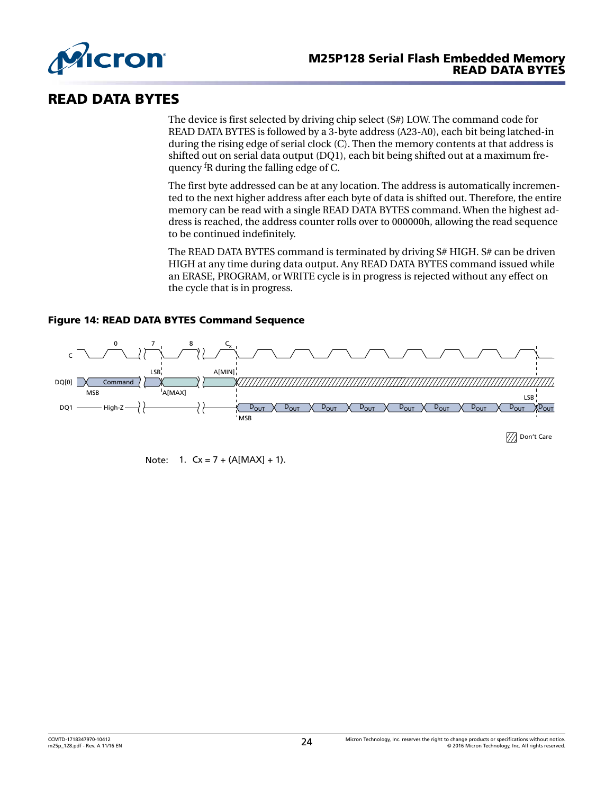<span id="page-23-0"></span>

### READ DATA BYTES

The device is first selected by driving chip select (S#) LOW. The command code for READ DATA BYTES is followed by a 3-byte address (A23-A0), each bit being latched-in during the rising edge of serial clock (C). Then the memory contents at that address is shifted out on serial data output (DQ1), each bit being shifted out at a maximum frequency fR during the falling edge of C.

The first byte addressed can be at any location. The address is automatically incremented to the next higher address after each byte of data is shifted out. Therefore, the entire memory can be read with a single READ DATA BYTES command. When the highest address is reached, the address counter rolls over to 000000h, allowing the read sequence to be continued indefinitely.

The READ DATA BYTES command is terminated by driving S# HIGH. S# can be driven HIGH at any time during data output. Any READ DATA BYTES command issued while an ERASE, PROGRAM, or WRITE cycle is in progress is rejected without any effect on the cycle that is in progress.



### Figure 14: READ DATA BYTES Command Sequence

Note:  $1. \,$  Cx = 7 + (A[MAX] + 1).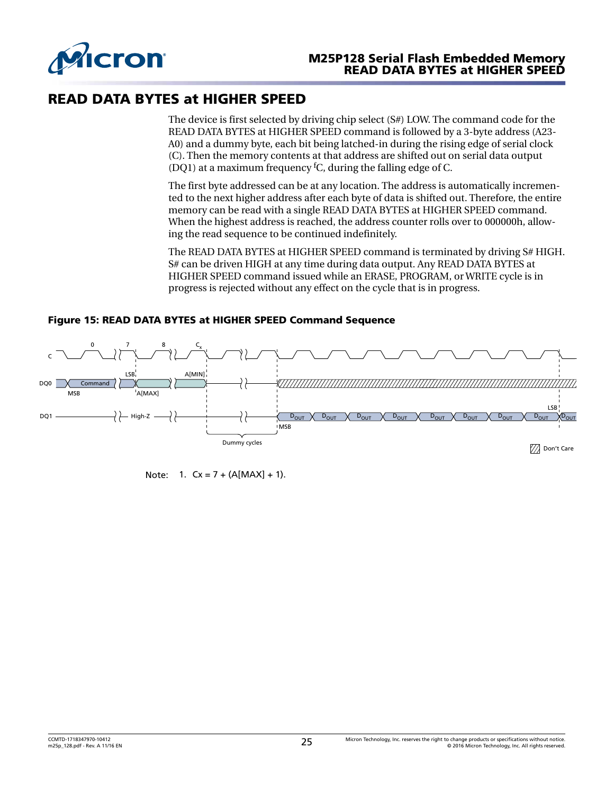<span id="page-24-0"></span>

### READ DATA BYTES at HIGHER SPEED

The device is first selected by driving chip select (S#) LOW. The command code for the READ DATA BYTES at HIGHER SPEED command is followed by a 3-byte address (A23- A0) and a dummy byte, each bit being latched-in during the rising edge of serial clock (C). Then the memory contents at that address are shifted out on serial data output (DQ1) at a maximum frequency  ${}^fC$ , during the falling edge of C.

The first byte addressed can be at any location. The address is automatically incremented to the next higher address after each byte of data is shifted out. Therefore, the entire memory can be read with a single READ DATA BYTES at HIGHER SPEED command. When the highest address is reached, the address counter rolls over to 000000h, allowing the read sequence to be continued indefinitely.

The READ DATA BYTES at HIGHER SPEED command is terminated by driving S# HIGH. S# can be driven HIGH at any time during data output. Any READ DATA BYTES at HIGHER SPEED command issued while an ERASE, PROGRAM, or WRITE cycle is in progress is rejected without any effect on the cycle that is in progress.



#### Figure 15: READ DATA BYTES at HIGHER SPEED Command Sequence

Note:  $1. \,$  Cx = 7 + (A[MAX] + 1).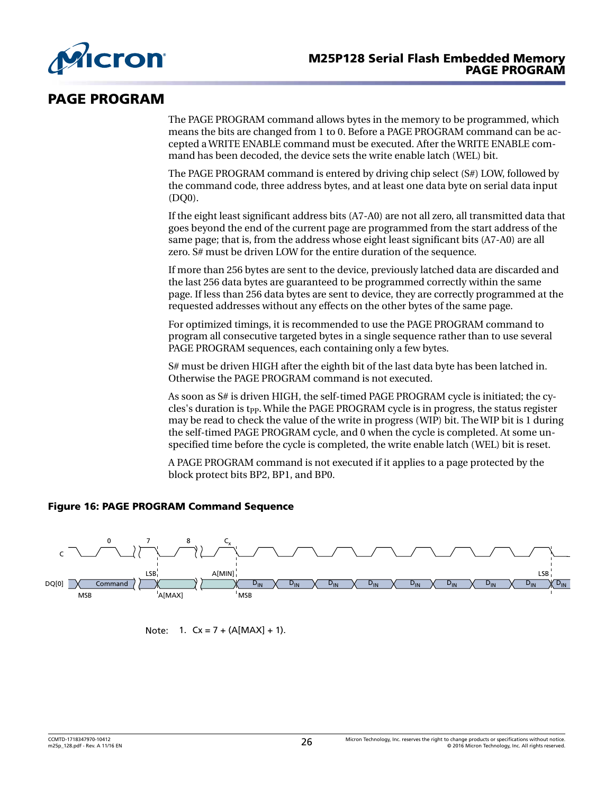<span id="page-25-0"></span>

### PAGE PROGRAM

The PAGE PROGRAM command allows bytes in the memory to be programmed, which means the bits are changed from 1 to 0. Before a PAGE PROGRAM command can be accepted a WRITE ENABLE command must be executed. After the WRITE ENABLE command has been decoded, the device sets the write enable latch (WEL) bit.

The PAGE PROGRAM command is entered by driving chip select (S#) LOW, followed by the command code, three address bytes, and at least one data byte on serial data input (DQ0).

If the eight least significant address bits (A7-A0) are not all zero, all transmitted data that goes beyond the end of the current page are programmed from the start address of the same page; that is, from the address whose eight least significant bits (A7-A0) are all zero. S# must be driven LOW for the entire duration of the sequence.

If more than 256 bytes are sent to the device, previously latched data are discarded and the last 256 data bytes are guaranteed to be programmed correctly within the same page. If less than 256 data bytes are sent to device, they are correctly programmed at the requested addresses without any effects on the other bytes of the same page.

For optimized timings, it is recommended to use the PAGE PROGRAM command to program all consecutive targeted bytes in a single sequence rather than to use several PAGE PROGRAM sequences, each containing only a few bytes.

S# must be driven HIGH after the eighth bit of the last data byte has been latched in. Otherwise the PAGE PROGRAM command is not executed.

As soon as S# is driven HIGH, the self-timed PAGE PROGRAM cycle is initiated; the cycles's duration is t<sub>PP</sub>. While the PAGE PROGRAM cycle is in progress, the status register may be read to check the value of the write in progress (WIP) bit. The WIP bit is 1 during the self-timed PAGE PROGRAM cycle, and 0 when the cycle is completed. At some unspecified time before the cycle is completed, the write enable latch (WEL) bit is reset.

A PAGE PROGRAM command is not executed if it applies to a page protected by the block protect bits BP2, BP1, and BP0.

### Figure 16: PAGE PROGRAM Command Sequence



Note:  $1. \,$  Cx = 7 + (A[MAX] + 1).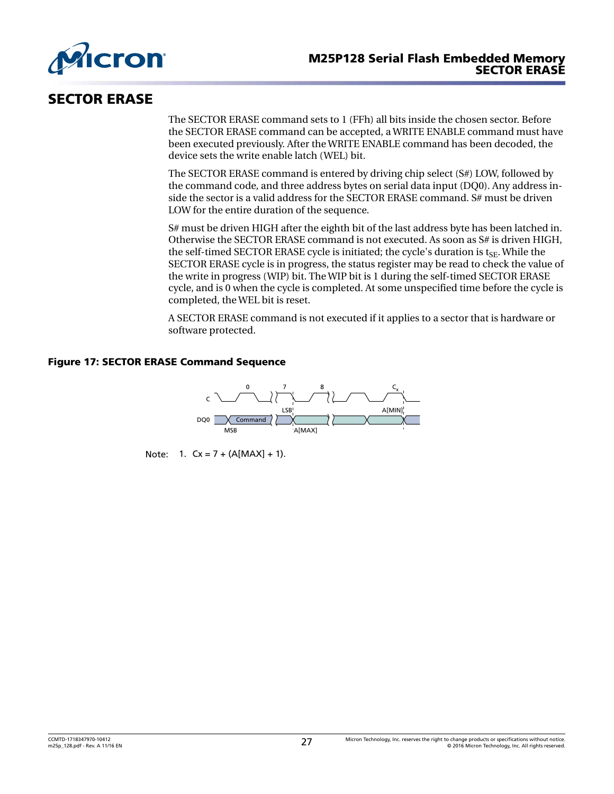<span id="page-26-0"></span>

### SECTOR ERASE

The SECTOR ERASE command sets to 1 (FFh) all bits inside the chosen sector. Before the SECTOR ERASE command can be accepted, a WRITE ENABLE command must have been executed previously. After the WRITE ENABLE command has been decoded, the device sets the write enable latch (WEL) bit.

The SECTOR ERASE command is entered by driving chip select (S#) LOW, followed by the command code, and three address bytes on serial data input (DQ0). Any address inside the sector is a valid address for the SECTOR ERASE command. S# must be driven LOW for the entire duration of the sequence.

S# must be driven HIGH after the eighth bit of the last address byte has been latched in. Otherwise the SECTOR ERASE command is not executed. As soon as S# is driven HIGH, the self-timed SECTOR ERASE cycle is initiated; the cycle's duration is  $t_{SE}$ . While the SECTOR ERASE cycle is in progress, the status register may be read to check the value of the write in progress (WIP) bit. The WIP bit is 1 during the self-timed SECTOR ERASE cycle, and is 0 when the cycle is completed. At some unspecified time before the cycle is completed, the WEL bit is reset.

A SECTOR ERASE command is not executed if it applies to a sector that is hardware or software protected.

### Figure 17: SECTOR ERASE Command Sequence



Note:  $1. \,$  Cx = 7 + (A[MAX] + 1).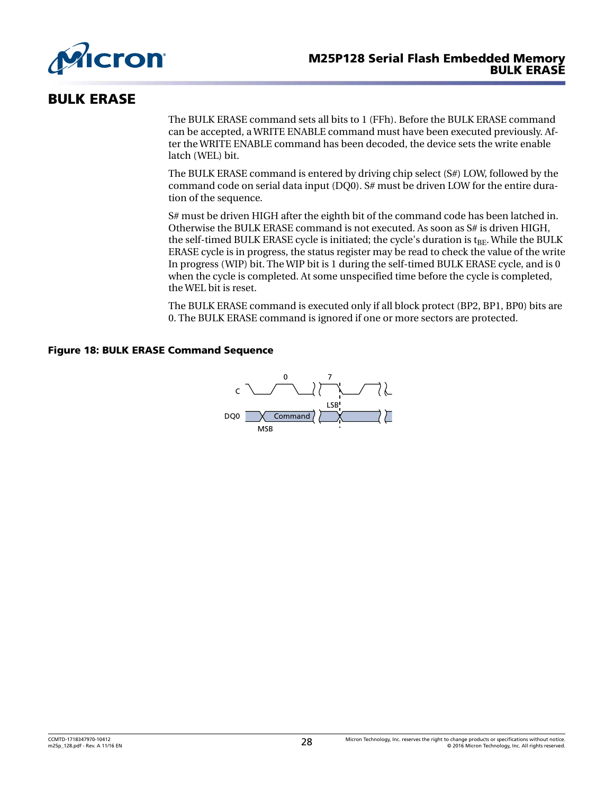<span id="page-27-0"></span>

### BULK ERASE

The BULK ERASE command sets all bits to 1 (FFh). Before the BULK ERASE command can be accepted, a WRITE ENABLE command must have been executed previously. After the WRITE ENABLE command has been decoded, the device sets the write enable latch (WEL) bit.

The BULK ERASE command is entered by driving chip select (S#) LOW, followed by the command code on serial data input (DQ0). S# must be driven LOW for the entire duration of the sequence.

S# must be driven HIGH after the eighth bit of the command code has been latched in. Otherwise the BULK ERASE command is not executed. As soon as S# is driven HIGH, the self-timed BULK ERASE cycle is initiated; the cycle's duration is  $t_{BF}$ . While the BULK ERASE cycle is in progress, the status register may be read to check the value of the write In progress (WIP) bit. The WIP bit is 1 during the self-timed BULK ERASE cycle, and is 0 when the cycle is completed. At some unspecified time before the cycle is completed, the WEL bit is reset.

The BULK ERASE command is executed only if all block protect (BP2, BP1, BP0) bits are 0. The BULK ERASE command is ignored if one or more sectors are protected.

### Figure 18: BULK ERASE Command Sequence

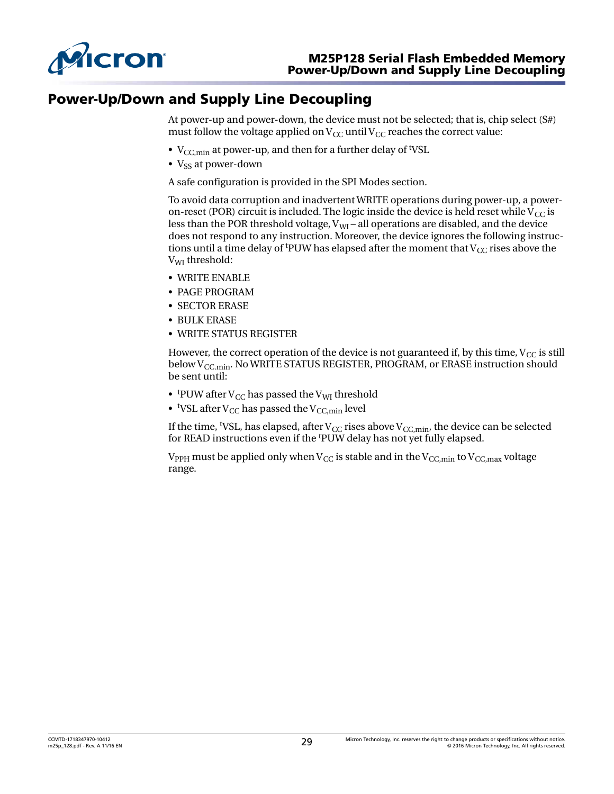<span id="page-28-0"></span>

### Power-Up/Down and Supply Line Decoupling

At power-up and power-down, the device must not be selected; that is, chip select (S#) must follow the voltage applied on  $V_{CC}$  until  $V_{CC}$  reaches the correct value:

- $V_{\text{CC,min}}$  at power-up, and then for a further delay of <sup>t</sup>VSL
- $V_{\rm ss}$  at power-down

A safe configuration is provided in the SPI Modes section.

To avoid data corruption and inadvertent WRITE operations during power-up, a poweron-reset (POR) circuit is included. The logic inside the device is held reset while  $V_{CC}$  is less than the POR threshold voltage,  $V_{\text{WI}}$  – all operations are disabled, and the device does not respond to any instruction. Moreover, the device ignores the following instructions until a time delay of <sup>t</sup>PUW has elapsed after the moment that  $V_{CC}$  rises above the V<sub>WI</sub> threshold:

- WRITE ENABLE
- PAGE PROGRAM
- SECTOR ERASE
- BULK ERASE
- WRITE STATUS REGISTER

However, the correct operation of the device is not guaranteed if, by this time,  $V_{CC}$  is still below  $V_{CC,min}$ . No WRITE STATUS REGISTER, PROGRAM, or ERASE instruction should be sent until:

- tpUW after V<sub>CC</sub> has passed the V<sub>WI</sub> threshold
- $\bullet$  <sup>t</sup>VSL after V<sub>CC</sub> has passed the V<sub>CC,min</sub> level

If the time, <sup>t</sup>VSL, has elapsed, after  $V_{\text{CC}}$  rises above  $V_{\text{CC,min}}$ , the device can be selected for READ instructions even if the <sup>t</sup>PUW delay has not yet fully elapsed.

 $V_{PPH}$  must be applied only when  $V_{CC}$  is stable and in the  $V_{CC,min}$  to  $V_{CC,max}$  voltage range.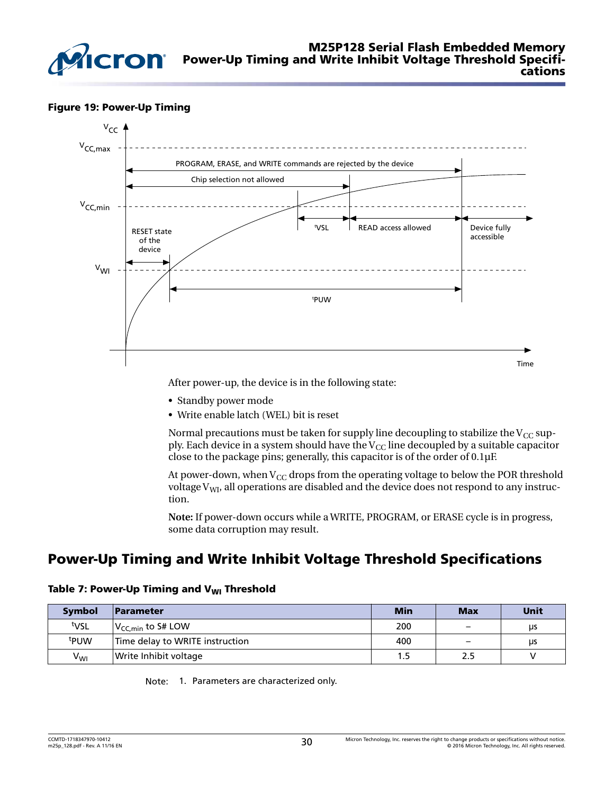<span id="page-29-0"></span>

#### Figure 19: Power-Up Timing



After power-up, the device is in the following state:

- Standby power mode
- Write enable latch (WEL) bit is reset

Normal precautions must be taken for supply line decoupling to stabilize the  $V_{CC}$  supply. Each device in a system should have the  $V_{CC}$  line decoupled by a suitable capacitor close to the package pins; generally, this capacitor is of the order of 0.1µF.

At power-down, when  $V_{CC}$  drops from the operating voltage to below the POR threshold voltage  $V_{\text{WI}}$ , all operations are disabled and the device does not respond to any instruction.

**Note:** If power-down occurs while a WRITE, PROGRAM, or ERASE cycle is in progress, some data corruption may result.

# Power-Up Timing and Write Inhibit Voltage Threshold Specifications

|  | Table 7: Power-Up Timing and V <sub>WI</sub> Threshold |  |  |  |
|--|--------------------------------------------------------|--|--|--|
|--|--------------------------------------------------------|--|--|--|

| <b>Symbol</b>    | Parameter                        | <b>Min</b> | <b>Max</b>               | <b>Unit</b> |
|------------------|----------------------------------|------------|--------------------------|-------------|
| tvsL             | $ V_{\mathsf{CC}.min}$ to S# LOW | 200        | $\overline{\phantom{0}}$ | μs          |
| <sup>t</sup> PUW | Time delay to WRITE instruction  | 400        | $\overline{\phantom{a}}$ | <b>LIS</b>  |
| $V_{WI}$         | Write Inhibit voltage            |            |                          | v           |

Note: 1. Parameters are characterized only.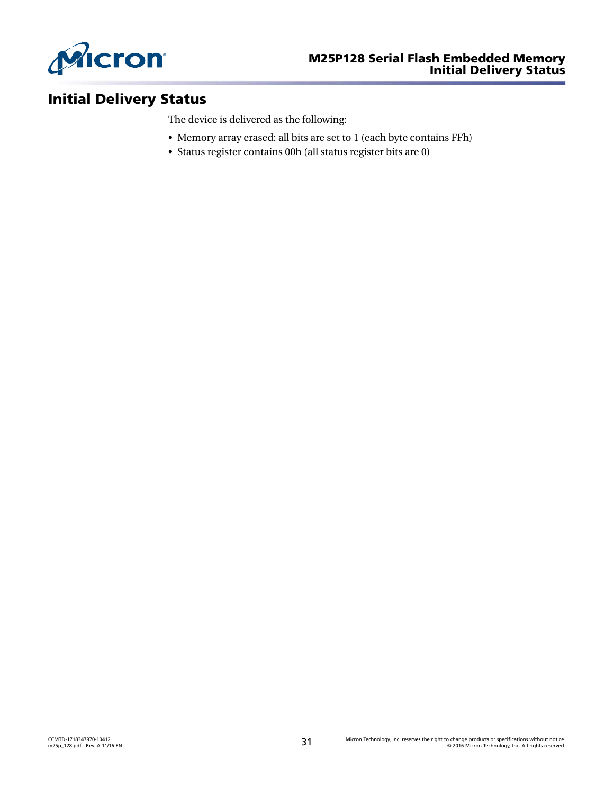<span id="page-30-0"></span>

# Initial Delivery Status

The device is delivered as the following:

- Memory array erased: all bits are set to 1 (each byte contains FFh)
- Status register contains 00h (all status register bits are 0)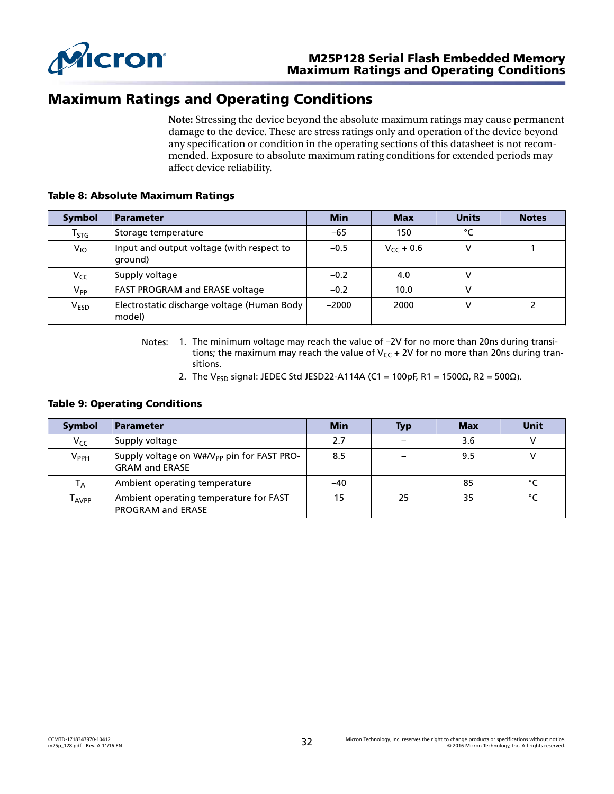<span id="page-31-0"></span>

### Maximum Ratings and Operating Conditions

**Note:** Stressing the device beyond the absolute maximum ratings may cause permanent damage to the device. These are stress ratings only and operation of the device beyond any specification or condition in the operating sections of this datasheet is not recommended. Exposure to absolute maximum rating conditions for extended periods may affect device reliability.

#### Table 8: Absolute Maximum Ratings

| <b>Symbol</b>    | <b>Parameter</b>                                      | <b>Min</b> | <b>Max</b>     | <b>Units</b> | <b>Notes</b> |
|------------------|-------------------------------------------------------|------------|----------------|--------------|--------------|
| $T_{STG}$        | Storage temperature                                   | $-65$      | 150            | °C           |              |
| $V_{10}$         | Input and output voltage (with respect to<br>'ground) | $-0.5$     | $V_{cr}$ + 0.6 |              |              |
| Vcc              | Supply voltage                                        | $-0.2$     | 4.0            |              |              |
| $V_{PP}$         | <b>FAST PROGRAM and ERASE voltage</b>                 | $-0.2$     | 10.0           | v            |              |
| V <sub>ESD</sub> | Electrostatic discharge voltage (Human Body<br>model) | $-2000$    | 2000           | v            | 2            |

- Notes: 1. The minimum voltage may reach the value of –2V for no more than 20ns during transitions; the maximum may reach the value of  $V_{CC}$  + 2V for no more than 20ns during transitions.
	- 2. The V<sub>ESD</sub> signal: JEDEC Std JESD22-A114A (C1 = 100pF, R1 = 1500 $\Omega$ , R2 = 500 $\Omega$ ).

### Table 9: Operating Conditions

| <b>Symbol</b>                     | <b>Parameter</b>                                                                | Min | <b>Typ</b> | <b>Max</b> | Unit   |
|-----------------------------------|---------------------------------------------------------------------------------|-----|------------|------------|--------|
| $V_{CC}$                          | Supply voltage                                                                  | 2.7 |            | 3.6        |        |
| $V_{\sf PPH}$                     | Supply voltage on W#/V <sub>PP</sub> pin for FAST PRO-<br><b>GRAM and ERASE</b> | 8.5 |            | 9.5        |        |
| $\mathsf{T}_\mathsf{A}$           | Ambient operating temperature                                                   | -40 |            | 85         | °۲     |
| $\mathsf{\Gamma}_{\mathsf{AVPP}}$ | Ambient operating temperature for FAST<br><b>PROGRAM and ERASE</b>              | 15  | 25         | 35         | $\sim$ |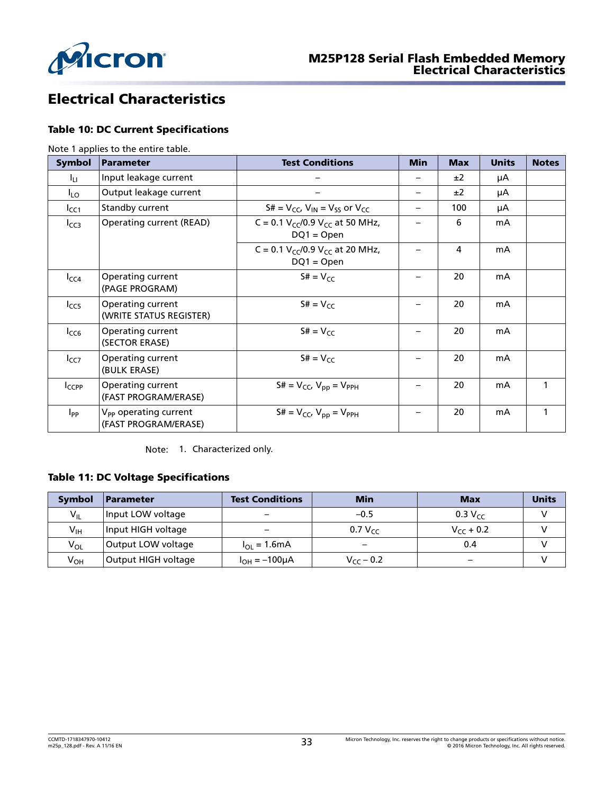<span id="page-32-0"></span>

# Electrical Characteristics

### Table 10: DC Current Specifications

Note 1 applies to the entire table.

| Symbol     | Parameter                                                 | <b>Test Conditions</b>                                   | <b>Min</b> | <b>Max</b> | <b>Units</b> | <b>Notes</b> |
|------------|-----------------------------------------------------------|----------------------------------------------------------|------------|------------|--------------|--------------|
| Ιu.        | Input leakage current                                     |                                                          |            | ±2         | μA           |              |
| $I_{LO}$   | Output leakage current                                    |                                                          |            | ±2         | μA           |              |
| $I_{CC1}$  | Standby current                                           | $S# = V_{CC}$ , $V_{IN} = V_{SS}$ or $V_{CC}$            |            | 100        | μA           |              |
| $I_{CC3}$  | <b>Operating current (READ)</b>                           | C = 0.1 $V_{CC}/0.9$ $V_{CC}$ at 50 MHz,<br>$DQ1 = Open$ |            | 6          | mA           |              |
|            |                                                           | C = 0.1 $V_{CC}/0.9$ $V_{CC}$ at 20 MHz,<br>$DQ1 = Open$ |            | 4          | mA           |              |
| $I_{CC4}$  | Operating current<br>(PAGE PROGRAM)                       | $S# = V_{CC}$                                            |            | 20         | mA           |              |
| $I_{CC5}$  | Operating current<br>(WRITE STATUS REGISTER)              | $S# = V_{CC}$                                            |            | 20         | mA           |              |
| $I_{CC6}$  | Operating current<br>(SECTOR ERASE)                       | $S# = V_{CC}$                                            |            | 20         | mA           |              |
| $I_{CC7}$  | Operating current<br>(BULK ERASE)                         | $S# = V_{CC}$                                            |            | 20         | mA           |              |
| $I_{CCPP}$ | Operating current<br>(FAST PROGRAM/ERASE)                 | $S# = V_{CC}$ , $V_{pp} = V_{PPH}$                       |            | 20         | mA           |              |
| $I_{PP}$   | V <sub>PP</sub> operating current<br>(FAST PROGRAM/ERASE) | $S# = V_{CC}$ , $V_{pp} = V_{PPH}$                       |            | 20         | mA           |              |

Note: 1. Characterized only.

### Table 11: DC Voltage Specifications

| <b>Symbol</b> | <b>Parameter</b>    | <b>Test Conditions</b>       | <b>Min</b>     | <b>Max</b>     | <b>Units</b> |
|---------------|---------------------|------------------------------|----------------|----------------|--------------|
| $V_{IL}$      | Input LOW voltage   |                              | $-0.5$         | $0.3 V_{cc}$   |              |
| $V_{IH}$      | Input HIGH voltage  |                              | 0.7 $V_{cc}$   | $V_{CC}$ + 0.2 |              |
| $V_{OL}$      | Output LOW voltage  | $I_{\Omega} = 1.6 \text{mA}$ |                | 0.4            |              |
| $V_{OH}$      | Output HIGH voltage | $I_{OH} = -100 \mu A$        | $V_{cc}$ – 0.2 |                |              |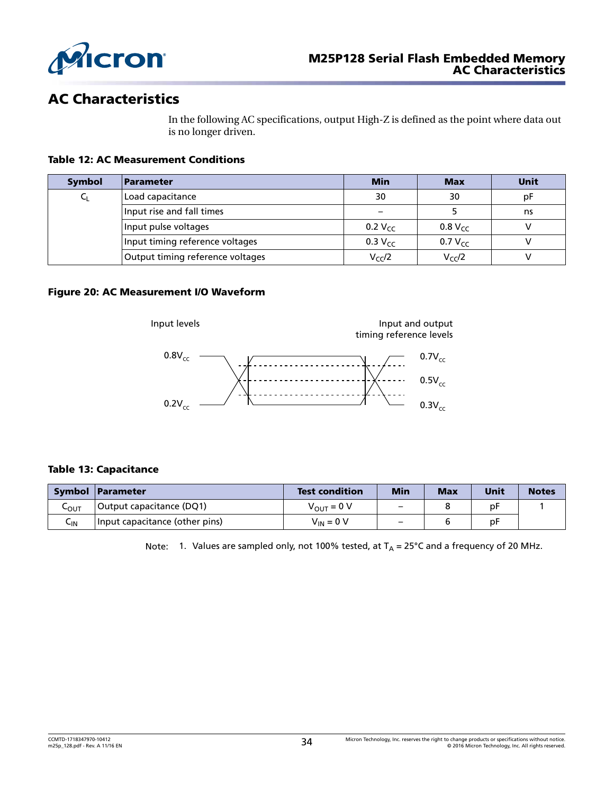<span id="page-33-0"></span>

### AC Characteristics

In the following AC specifications, output High-Z is defined as the point where data out is no longer driven.

### Table 12: AC Measurement Conditions

| <b>Symbol</b> | Parameter                        | <b>Min</b>          | <b>Max</b>     | Unit |
|---------------|----------------------------------|---------------------|----------------|------|
|               | Load capacitance                 | 30                  | 30             | рF   |
|               | Input rise and fall times        |                     |                | ns   |
|               | Input pulse voltages             | 0.2 $V_{CC}$        | $0.8 V_{CC}$   |      |
|               | Input timing reference voltages  | 0.3 V <sub>CC</sub> | 0.7 $V_{cc}$   |      |
|               | Output timing reference voltages | $V_{CC}/2$          | $V_{\rm CC}/2$ |      |

#### Figure 20: AC Measurement I/O Waveform



### Table 13: Capacitance

|      | Symbol Parameter               | <b>Test condition</b> | Min                      | <b>Max</b> | Unit | <b>Notes</b> |
|------|--------------------------------|-----------------------|--------------------------|------------|------|--------------|
| ⊾оит | Output capacitance (DQ1)       | $V_{OUT} = 0 V$       | $\overline{\phantom{0}}$ |            | рF   |              |
| Կա   | Input capacitance (other pins) | $V_{IN} = 0 V$        |                          |            | рF   |              |

Note: 1. Values are sampled only, not 100% tested, at  $T_A = 25^{\circ}$ C and a frequency of 20 MHz.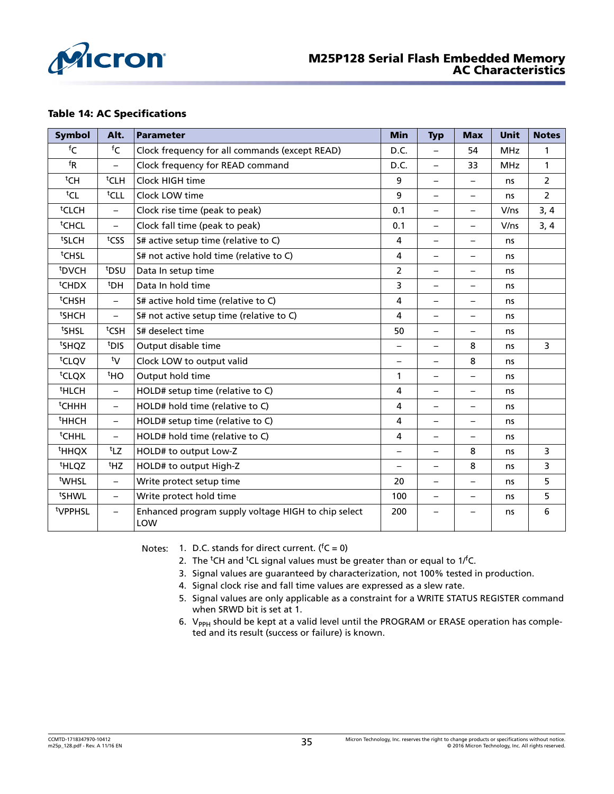<span id="page-34-0"></span>

#### Table 14: AC Specifications

| <b>Symbol</b>                | Alt.                         | <b>Parameter</b>                                           | <b>Min</b>               | <b>Typ</b>               | <b>Max</b>               | Unit       | <b>Notes</b>   |
|------------------------------|------------------------------|------------------------------------------------------------|--------------------------|--------------------------|--------------------------|------------|----------------|
| ${}^{\mathsf{f}} \mathsf{C}$ | ${}^{\mathsf{f}} \mathsf{C}$ | Clock frequency for all commands (except READ)             | D.C.                     | $\overline{\phantom{0}}$ | 54                       | <b>MHz</b> | 1              |
| $f_{\mathsf{R}}$             | $\overline{\phantom{0}}$     | Clock frequency for READ command                           | D.C.                     | $\overline{\phantom{0}}$ | 33                       | <b>MHz</b> | 1              |
| <sup>t</sup> CH              | <sup>t</sup> CLH             | Clock HIGH time                                            | 9                        | $\overline{\phantom{0}}$ | $\equiv$                 | ns         | $\overline{2}$ |
| <sup>t</sup> CL              | tCLL                         | Clock LOW time                                             | 9                        | $\overline{\phantom{0}}$ | $\overline{\phantom{m}}$ | ns         | $\overline{2}$ |
| <sup>t</sup> CLCH            | $\overline{\phantom{0}}$     | Clock rise time (peak to peak)                             | 0.1                      | $\qquad \qquad -$        | $\overline{\phantom{m}}$ | V/ns       | 3, 4           |
| <sup>t</sup> CHCL            | $\overline{\phantom{0}}$     | Clock fall time (peak to peak)                             | 0.1                      | $\overline{\phantom{0}}$ |                          | V/ns       | 3, 4           |
| tslCH                        | tcss                         | S# active setup time (relative to C)                       | 4                        | $\overline{\phantom{0}}$ | $\overline{\phantom{0}}$ | ns         |                |
| <sup>t</sup> CHSL            |                              | S# not active hold time (relative to C)                    | $\overline{a}$           | $\overline{\phantom{0}}$ | $\qquad \qquad -$        | ns         |                |
| <sup>t</sup> DVCH            | t <sub>DSU</sub>             | Data In setup time                                         | $\overline{2}$           | $\qquad \qquad -$        | $\overline{\phantom{m}}$ | ns         |                |
| <sup>t</sup> CHDX            | <sup>t</sup> DH              | Data In hold time                                          | 3                        | $\overline{\phantom{0}}$ | $\qquad \qquad -$        | ns         |                |
| <sup>t</sup> CHSH            | $\overline{\phantom{0}}$     | S# active hold time (relative to C)                        | 4                        | $\overline{\phantom{0}}$ | $\qquad \qquad -$        | ns         |                |
| <sup>t</sup> SHCH            | $\overline{\phantom{0}}$     | S# not active setup time (relative to C)                   | $\overline{a}$           | $\overline{\phantom{0}}$ |                          | ns         |                |
| tsHSL                        | t <sub>CSH</sub>             | S# deselect time                                           | 50                       | $\qquad \qquad -$        | $\qquad \qquad -$        | ns         |                |
| tsHQZ                        | t <sub>DIS</sub>             | Output disable time                                        | $\qquad \qquad -$        | $\qquad \qquad -$        | 8                        | ns         | 3              |
| <sup>t</sup> CLQV            | ty                           | Clock LOW to output valid                                  | $\overline{\phantom{0}}$ | $\overline{\phantom{0}}$ | 8                        | ns         |                |
| <sup>t</sup> CLQX            | <sup>t</sup> HO              | Output hold time                                           | 1                        | $\overline{\phantom{0}}$ | $\qquad \qquad -$        | ns         |                |
| <sup>t</sup> HLCH            | $\overline{\phantom{0}}$     | HOLD# setup time (relative to C)                           | 4                        | $\overline{\phantom{0}}$ | $\qquad \qquad -$        | ns         |                |
| <sup>t</sup> CHHH            | $\equiv$                     | HOLD# hold time (relative to C)                            | 4                        | $\overline{\phantom{0}}$ | $\qquad \qquad -$        | ns         |                |
| <sup>t</sup> HHCH            | $\overline{\phantom{0}}$     | HOLD# setup time (relative to C)                           | 4                        | $\overline{\phantom{0}}$ | $\qquad \qquad -$        | ns         |                |
| <sup>t</sup> CHHL            | $\overline{\phantom{0}}$     | HOLD# hold time (relative to C)                            | 4                        | $\overline{\phantom{0}}$ | $\qquad \qquad -$        | ns         |                |
| <sup>t</sup> HHQX            | tLZ                          | HOLD# to output Low-Z                                      | $\overline{\phantom{0}}$ | $\overline{\phantom{0}}$ | 8                        | ns         | 3              |
| <sup>t</sup> HLQZ            | <sup>t</sup> HZ              | HOLD# to output High-Z                                     | $\overline{\phantom{0}}$ | $\overline{\phantom{0}}$ | 8                        | ns         | 3              |
| <sup>t</sup> WHSL            | $\overline{\phantom{0}}$     | Write protect setup time                                   | 20                       | $\qquad \qquad -$        | $\qquad \qquad -$        | ns         | 5              |
| tsHWL                        | $\overline{\phantom{0}}$     | Write protect hold time                                    | 100                      | $\overline{\phantom{0}}$ | $\overline{\phantom{m}}$ | ns         | 5              |
| tVPPHSL                      | $\overline{\phantom{0}}$     | Enhanced program supply voltage HIGH to chip select<br>LOW | 200                      |                          |                          | ns         | 6              |

Notes: 1. D.C. stands for direct current.  $(^fC = 0)$ 

- 2. The <sup>t</sup>CH and <sup>t</sup>CL signal values must be greater than or equal to  $1/fC$ .
- 3. Signal values are guaranteed by characterization, not 100% tested in production.
- 4. Signal clock rise and fall time values are expressed as a slew rate.
- 5. Signal values are only applicable as a constraint for a WRITE STATUS REGISTER command when SRWD bit is set at 1.
- 6. V<sub>PPH</sub> should be kept at a valid level until the PROGRAM or ERASE operation has completed and its result (success or failure) is known.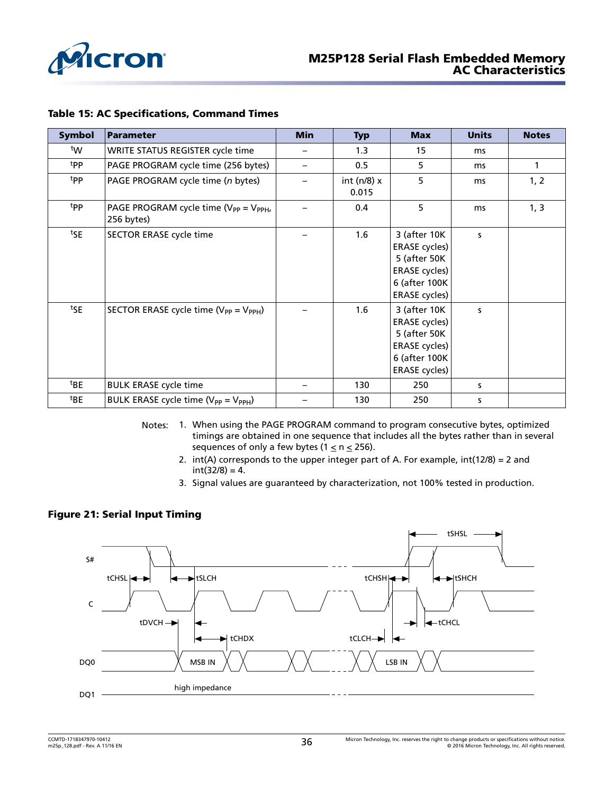<span id="page-35-0"></span>

#### Table 15: AC Specifications, Command Times

| <b>Symbol</b>   | <b>Parameter</b>                                             | <b>Min</b> | <b>Typ</b>               | <b>Max</b>                                                                                                            | <b>Units</b> | <b>Notes</b> |
|-----------------|--------------------------------------------------------------|------------|--------------------------|-----------------------------------------------------------------------------------------------------------------------|--------------|--------------|
| tw              | WRITE STATUS REGISTER cycle time                             |            | 1.3                      | 15                                                                                                                    | ms           |              |
| tpp             | PAGE PROGRAM cycle time (256 bytes)                          | —          | 0.5                      | 5                                                                                                                     | ms           | 1            |
| tpp             | PAGE PROGRAM cycle time (n bytes)                            |            | int ( $n/8$ ) x<br>0.015 | 5                                                                                                                     | ms           | 1, 2         |
| tpp             | PAGE PROGRAM cycle time ( $V_{PP} = V_{PPH}$ ,<br>256 bytes) |            | 0.4                      | 5                                                                                                                     | ms           | 1, 3         |
| tSE             | SECTOR ERASE cycle time                                      |            | 1.6                      | 3 (after 10K<br><b>ERASE</b> cycles)<br>5 (after 50K<br><b>ERASE cycles)</b><br>6 (after 100K<br><b>ERASE cycles)</b> | s            |              |
| tSE             | SECTOR ERASE cycle time ( $V_{PP} = V_{PPH}$ )               |            | 1.6                      | 3 (after 10K<br><b>ERASE cycles)</b><br>5 (after 50K<br><b>ERASE</b> cycles)<br>6 (after 100K<br><b>ERASE</b> cycles) | S            |              |
| <sup>t</sup> BE | <b>BULK ERASE cycle time</b>                                 |            | 130                      | 250                                                                                                                   | s            |              |
| <sup>t</sup> BE | BULK ERASE cycle time (V <sub>PP</sub> = V <sub>PPH</sub> )  |            | 130                      | 250                                                                                                                   | S            |              |

- Notes: 1. When using the PAGE PROGRAM command to program consecutive bytes, optimized timings are obtained in one sequence that includes all the bytes rather than in several sequences of only a few bytes ( $1 \le n \le 256$ ).
	- 2.  $int(A)$  corresponds to the upper integer part of A. For example,  $int(12/8) = 2$  and  $int(32/8) = 4.$
	- 3. Signal values are guaranteed by characterization, not 100% tested in production.

#### Figure 21: Serial Input Timing

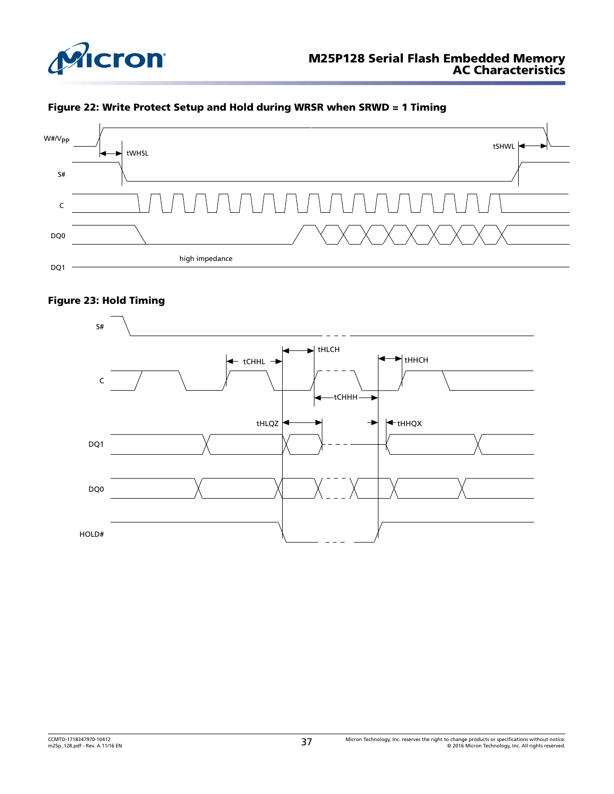<span id="page-36-0"></span>





### Figure 23: Hold Timing

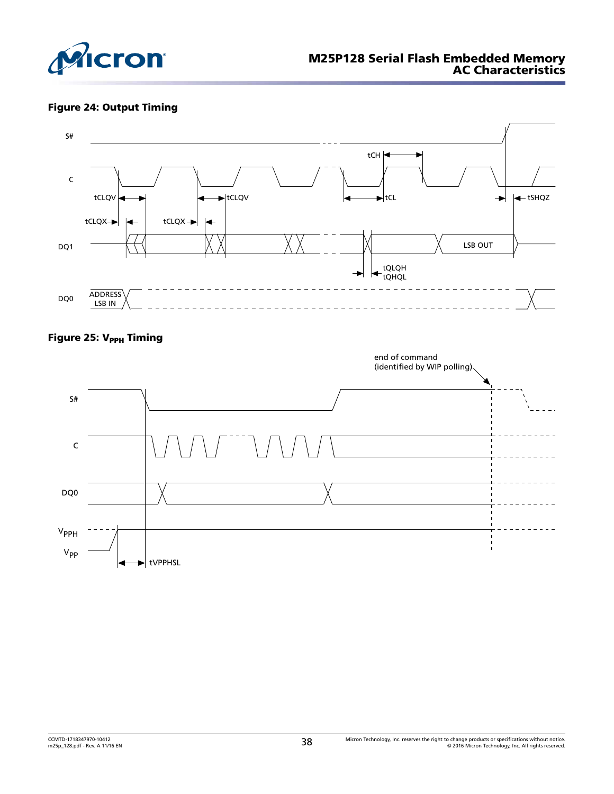<span id="page-37-0"></span>

### Figure 24: Output Timing



### Figure 25: V<sub>PPH</sub> Timing

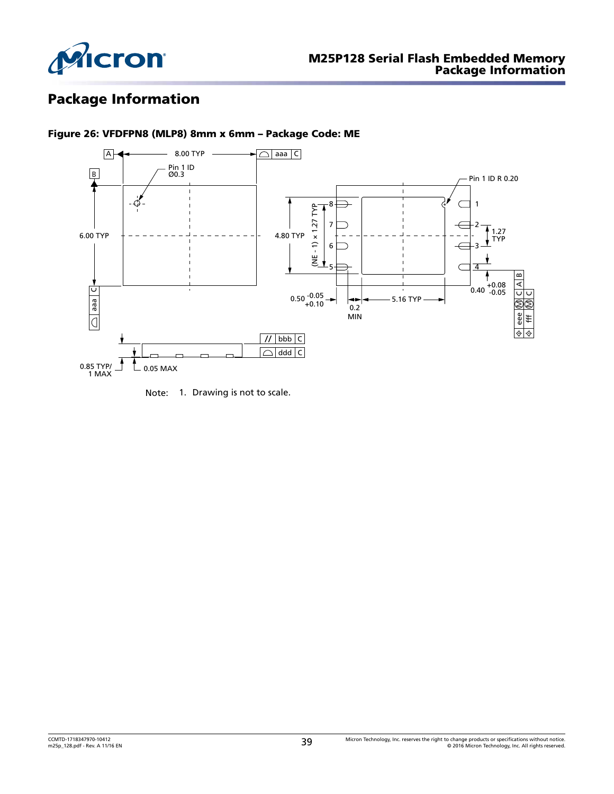<span id="page-38-0"></span>

# Package Information



Figure 26: VFDFPN8 (MLP8) 8mm x 6mm – Package Code: ME

Note: 1. Drawing is not to scale.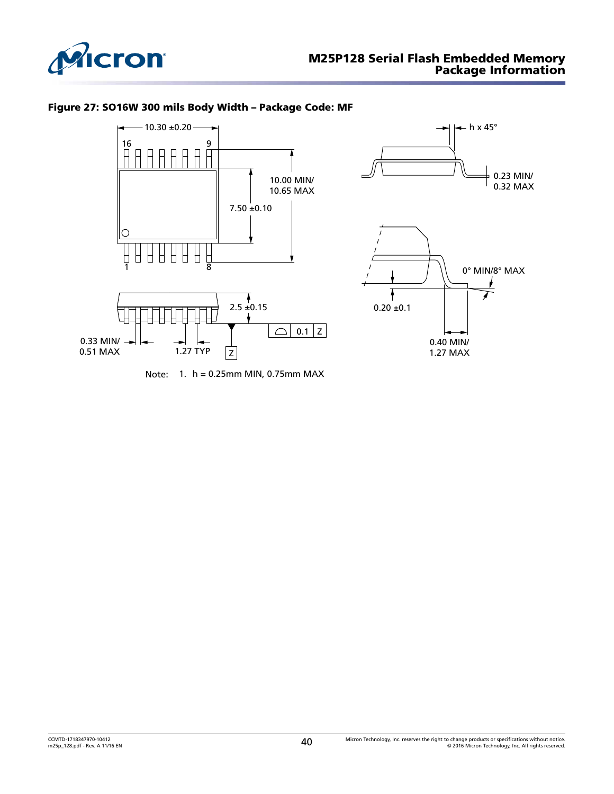<span id="page-39-0"></span>

### Figure 27: SO16W 300 mils Body Width – Package Code: MF





Note: 1. h = 0.25mm MIN, 0.75mm MAX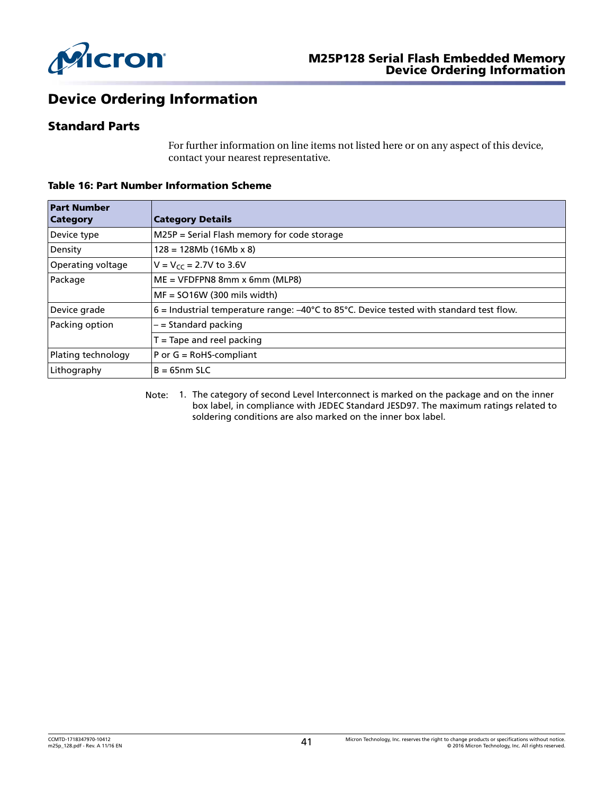<span id="page-40-0"></span>

# Device Ordering Information

### Standard Parts

For further information on line items not listed here or on any aspect of this device, contact your nearest representative.

| <b>Part Number</b>       |                                                                                                                |
|--------------------------|----------------------------------------------------------------------------------------------------------------|
| <b>Category</b>          | <b>Category Details</b>                                                                                        |
| Device type              | M25P = Serial Flash memory for code storage                                                                    |
| Density                  | $128 = 128Mb (16Mb x 8)$                                                                                       |
| <b>Operating voltage</b> | $V = V_{cc} = 2.7V$ to 3.6V                                                                                    |
| Package                  | $ME = VFDFPN8 8mm x 6mm (MLP8)$                                                                                |
|                          | $MF = SO16W (300 mils width)$                                                                                  |
| Device grade             | $6$ = Industrial temperature range: $-40^{\circ}$ C to 85 $^{\circ}$ C. Device tested with standard test flow. |
| Packing option           | – = Standard packing                                                                                           |
|                          | $T =$ Tape and reel packing                                                                                    |
| Plating technology       | $P$ or $G = RoHS$ -compliant                                                                                   |
| Lithography              | $B = 65nm$ SLC                                                                                                 |

Table 16: Part Number Information Scheme

Note: 1. The category of second Level Interconnect is marked on the package and on the inner box label, in compliance with JEDEC Standard JESD97. The maximum ratings related to soldering conditions are also marked on the inner box label.